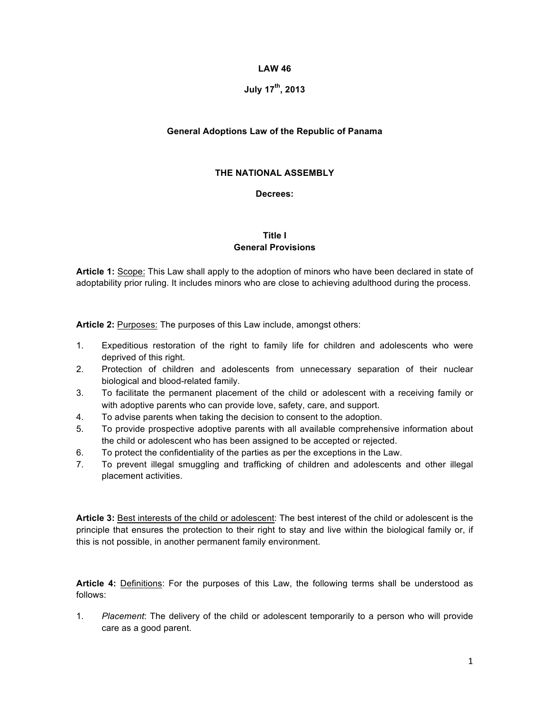### **LAW 46**

# **July 17th, 2013**

### **General Adoptions Law of the Republic of Panama**

## **THE NATIONAL ASSEMBLY**

#### **Decrees:**

## **Title I General Provisions**

**Article 1:** Scope: This Law shall apply to the adoption of minors who have been declared in state of adoptability prior ruling. It includes minors who are close to achieving adulthood during the process.

**Article 2:** Purposes: The purposes of this Law include, amongst others:

- 1. Expeditious restoration of the right to family life for children and adolescents who were deprived of this right.
- 2. Protection of children and adolescents from unnecessary separation of their nuclear biological and blood-related family.
- 3. To facilitate the permanent placement of the child or adolescent with a receiving family or with adoptive parents who can provide love, safety, care, and support.
- 4. To advise parents when taking the decision to consent to the adoption.
- 5. To provide prospective adoptive parents with all available comprehensive information about the child or adolescent who has been assigned to be accepted or rejected.
- 6. To protect the confidentiality of the parties as per the exceptions in the Law.
- 7. To prevent illegal smuggling and trafficking of children and adolescents and other illegal placement activities.

**Article 3:** Best interests of the child or adolescent: The best interest of the child or adolescent is the principle that ensures the protection to their right to stay and live within the biological family or, if this is not possible, in another permanent family environment.

**Article 4:** Definitions: For the purposes of this Law, the following terms shall be understood as follows:

1. *Placement*: The delivery of the child or adolescent temporarily to a person who will provide care as a good parent.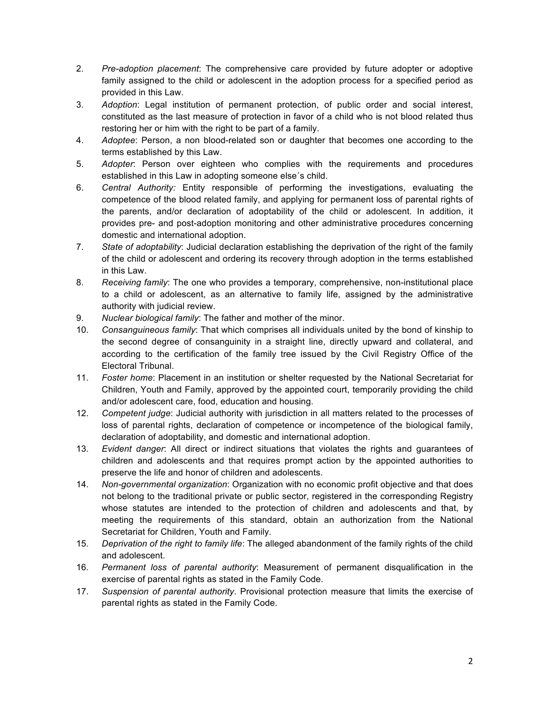- 2. *Pre-adoption placement*: The comprehensive care provided by future adopter or adoptive family assigned to the child or adolescent in the adoption process for a specified period as provided in this Law.
- 3. *Adoption*: Legal institution of permanent protection, of public order and social interest, constituted as the last measure of protection in favor of a child who is not blood related thus restoring her or him with the right to be part of a family.
- 4. *Adoptee*: Person, a non blood-related son or daughter that becomes one according to the terms established by this Law.
- 5. *Adopter*: Person over eighteen who complies with the requirements and procedures established in this Law in adopting someone else´s child.
- 6. *Central Authority:* Entity responsible of performing the investigations, evaluating the competence of the blood related family, and applying for permanent loss of parental rights of the parents, and/or declaration of adoptability of the child or adolescent. In addition, it provides pre- and post-adoption monitoring and other administrative procedures concerning domestic and international adoption.
- 7. *State of adoptability*: Judicial declaration establishing the deprivation of the right of the family of the child or adolescent and ordering its recovery through adoption in the terms established in this Law.
- 8. *Receiving family*: The one who provides a temporary, comprehensive, non-institutional place to a child or adolescent, as an alternative to family life, assigned by the administrative authority with judicial review.
- 9. *Nuclear biological family*: The father and mother of the minor.
- 10. *Consanguineous family*: That which comprises all individuals united by the bond of kinship to the second degree of consanguinity in a straight line, directly upward and collateral, and according to the certification of the family tree issued by the Civil Registry Office of the Electoral Tribunal.
- 11. *Foster home*: Placement in an institution or shelter requested by the National Secretariat for Children, Youth and Family, approved by the appointed court, temporarily providing the child and/or adolescent care, food, education and housing.
- 12. *Competent judge*: Judicial authority with jurisdiction in all matters related to the processes of loss of parental rights, declaration of competence or incompetence of the biological family, declaration of adoptability, and domestic and international adoption.
- 13. *Evident danger*: All direct or indirect situations that violates the rights and guarantees of children and adolescents and that requires prompt action by the appointed authorities to preserve the life and honor of children and adolescents.
- 14. *Non-governmental organization*: Organization with no economic profit objective and that does not belong to the traditional private or public sector, registered in the corresponding Registry whose statutes are intended to the protection of children and adolescents and that, by meeting the requirements of this standard, obtain an authorization from the National Secretariat for Children, Youth and Family.
- 15. *Deprivation of the right to family life*: The alleged abandonment of the family rights of the child and adolescent.
- 16. *Permanent loss of parental authority*: Measurement of permanent disqualification in the exercise of parental rights as stated in the Family Code.
- 17. *Suspension of parental authority*. Provisional protection measure that limits the exercise of parental rights as stated in the Family Code.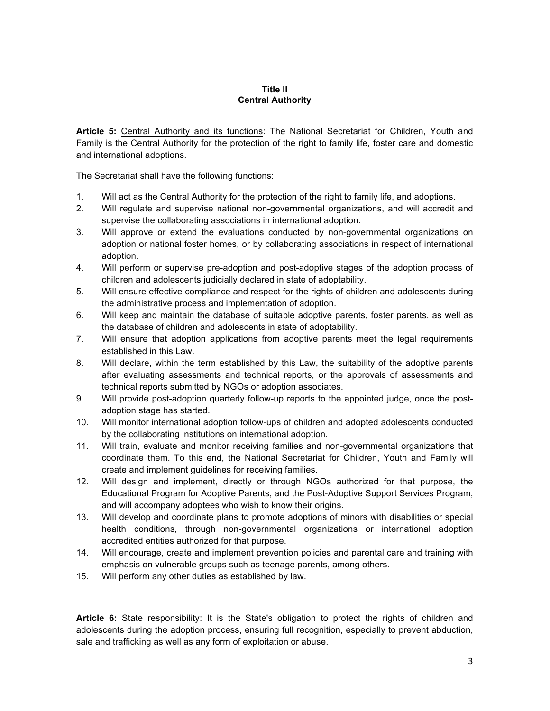## **Title II Central Authority**

**Article 5:** Central Authority and its functions: The National Secretariat for Children, Youth and Family is the Central Authority for the protection of the right to family life, foster care and domestic and international adoptions.

The Secretariat shall have the following functions:

- 1. Will act as the Central Authority for the protection of the right to family life, and adoptions.
- 2. Will regulate and supervise national non-governmental organizations, and will accredit and supervise the collaborating associations in international adoption.
- 3. Will approve or extend the evaluations conducted by non-governmental organizations on adoption or national foster homes, or by collaborating associations in respect of international adoption.
- 4. Will perform or supervise pre-adoption and post-adoptive stages of the adoption process of children and adolescents judicially declared in state of adoptability.
- 5. Will ensure effective compliance and respect for the rights of children and adolescents during the administrative process and implementation of adoption.
- 6. Will keep and maintain the database of suitable adoptive parents, foster parents, as well as the database of children and adolescents in state of adoptability.
- 7. Will ensure that adoption applications from adoptive parents meet the legal requirements established in this Law.
- 8. Will declare, within the term established by this Law, the suitability of the adoptive parents after evaluating assessments and technical reports, or the approvals of assessments and technical reports submitted by NGOs or adoption associates.
- 9. Will provide post-adoption quarterly follow-up reports to the appointed judge, once the postadoption stage has started.
- 10. Will monitor international adoption follow-ups of children and adopted adolescents conducted by the collaborating institutions on international adoption.
- 11. Will train, evaluate and monitor receiving families and non-governmental organizations that coordinate them. To this end, the National Secretariat for Children, Youth and Family will create and implement guidelines for receiving families.
- 12. Will design and implement, directly or through NGOs authorized for that purpose, the Educational Program for Adoptive Parents, and the Post-Adoptive Support Services Program, and will accompany adoptees who wish to know their origins.
- 13. Will develop and coordinate plans to promote adoptions of minors with disabilities or special health conditions, through non-governmental organizations or international adoption accredited entities authorized for that purpose.
- 14. Will encourage, create and implement prevention policies and parental care and training with emphasis on vulnerable groups such as teenage parents, among others.
- 15. Will perform any other duties as established by law.

**Article 6:** State responsibility: It is the State's obligation to protect the rights of children and adolescents during the adoption process, ensuring full recognition, especially to prevent abduction, sale and trafficking as well as any form of exploitation or abuse.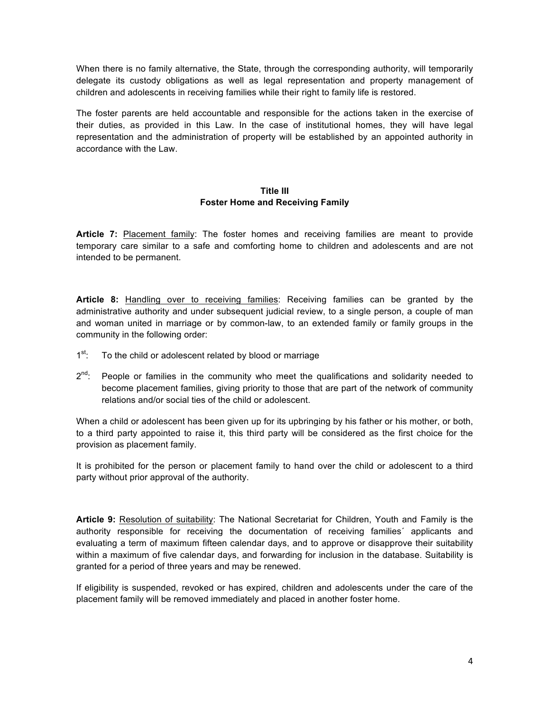When there is no family alternative, the State, through the corresponding authority, will temporarily delegate its custody obligations as well as legal representation and property management of children and adolescents in receiving families while their right to family life is restored.

The foster parents are held accountable and responsible for the actions taken in the exercise of their duties, as provided in this Law. In the case of institutional homes, they will have legal representation and the administration of property will be established by an appointed authority in accordance with the Law.

## **Title III Foster Home and Receiving Family**

**Article 7:** Placement family: The foster homes and receiving families are meant to provide temporary care similar to a safe and comforting home to children and adolescents and are not intended to be permanent.

**Article 8:** Handling over to receiving families: Receiving families can be granted by the administrative authority and under subsequent judicial review, to a single person, a couple of man and woman united in marriage or by common-law, to an extended family or family groups in the community in the following order:

- $1<sup>st</sup>$ : To the child or adolescent related by blood or marriage
- $2^{nd}$ : People or families in the community who meet the qualifications and solidarity needed to become placement families, giving priority to those that are part of the network of community relations and/or social ties of the child or adolescent.

When a child or adolescent has been given up for its upbringing by his father or his mother, or both, to a third party appointed to raise it, this third party will be considered as the first choice for the provision as placement family.

It is prohibited for the person or placement family to hand over the child or adolescent to a third party without prior approval of the authority.

**Article 9:** Resolution of suitability: The National Secretariat for Children, Youth and Family is the authority responsible for receiving the documentation of receiving families´ applicants and evaluating a term of maximum fifteen calendar days, and to approve or disapprove their suitability within a maximum of five calendar days, and forwarding for inclusion in the database. Suitability is granted for a period of three years and may be renewed.

If eligibility is suspended, revoked or has expired, children and adolescents under the care of the placement family will be removed immediately and placed in another foster home.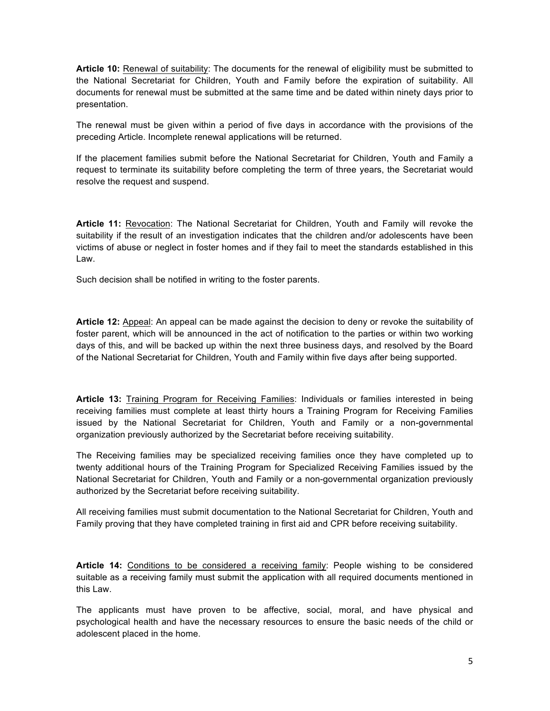**Article 10:** Renewal of suitability: The documents for the renewal of eligibility must be submitted to the National Secretariat for Children, Youth and Family before the expiration of suitability. All documents for renewal must be submitted at the same time and be dated within ninety days prior to presentation.

The renewal must be given within a period of five days in accordance with the provisions of the preceding Article. Incomplete renewal applications will be returned.

If the placement families submit before the National Secretariat for Children, Youth and Family a request to terminate its suitability before completing the term of three years, the Secretariat would resolve the request and suspend.

**Article 11:** Revocation: The National Secretariat for Children, Youth and Family will revoke the suitability if the result of an investigation indicates that the children and/or adolescents have been victims of abuse or neglect in foster homes and if they fail to meet the standards established in this Law.

Such decision shall be notified in writing to the foster parents.

**Article 12:** Appeal: An appeal can be made against the decision to deny or revoke the suitability of foster parent, which will be announced in the act of notification to the parties or within two working days of this, and will be backed up within the next three business days, and resolved by the Board of the National Secretariat for Children, Youth and Family within five days after being supported.

**Article 13:** Training Program for Receiving Families: Individuals or families interested in being receiving families must complete at least thirty hours a Training Program for Receiving Families issued by the National Secretariat for Children, Youth and Family or a non-governmental organization previously authorized by the Secretariat before receiving suitability.

The Receiving families may be specialized receiving families once they have completed up to twenty additional hours of the Training Program for Specialized Receiving Families issued by the National Secretariat for Children, Youth and Family or a non-governmental organization previously authorized by the Secretariat before receiving suitability.

All receiving families must submit documentation to the National Secretariat for Children, Youth and Family proving that they have completed training in first aid and CPR before receiving suitability.

**Article 14:** Conditions to be considered a receiving family: People wishing to be considered suitable as a receiving family must submit the application with all required documents mentioned in this Law.

The applicants must have proven to be affective, social, moral, and have physical and psychological health and have the necessary resources to ensure the basic needs of the child or adolescent placed in the home.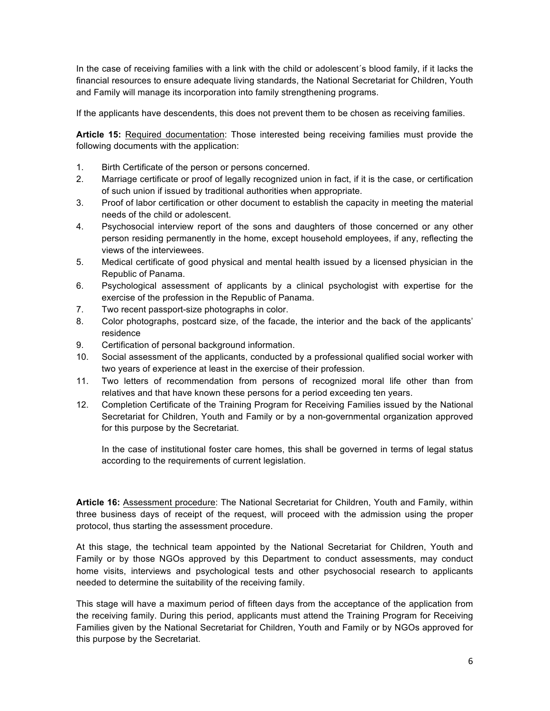In the case of receiving families with a link with the child or adolescent´s blood family, if it lacks the financial resources to ensure adequate living standards, the National Secretariat for Children, Youth and Family will manage its incorporation into family strengthening programs.

If the applicants have descendents, this does not prevent them to be chosen as receiving families.

**Article 15:** Required documentation: Those interested being receiving families must provide the following documents with the application:

- 1. Birth Certificate of the person or persons concerned.
- 2. Marriage certificate or proof of legally recognized union in fact, if it is the case, or certification of such union if issued by traditional authorities when appropriate.
- 3. Proof of labor certification or other document to establish the capacity in meeting the material needs of the child or adolescent.
- 4. Psychosocial interview report of the sons and daughters of those concerned or any other person residing permanently in the home, except household employees, if any, reflecting the views of the interviewees.
- 5. Medical certificate of good physical and mental health issued by a licensed physician in the Republic of Panama.
- 6. Psychological assessment of applicants by a clinical psychologist with expertise for the exercise of the profession in the Republic of Panama.
- 7. Two recent passport-size photographs in color.
- 8. Color photographs, postcard size, of the facade, the interior and the back of the applicants' residence
- 9. Certification of personal background information.
- 10. Social assessment of the applicants, conducted by a professional qualified social worker with two years of experience at least in the exercise of their profession.
- 11. Two letters of recommendation from persons of recognized moral life other than from relatives and that have known these persons for a period exceeding ten years.
- 12. Completion Certificate of the Training Program for Receiving Families issued by the National Secretariat for Children, Youth and Family or by a non-governmental organization approved for this purpose by the Secretariat.

In the case of institutional foster care homes, this shall be governed in terms of legal status according to the requirements of current legislation.

**Article 16:** Assessment procedure: The National Secretariat for Children, Youth and Family, within three business days of receipt of the request, will proceed with the admission using the proper protocol, thus starting the assessment procedure.

At this stage, the technical team appointed by the National Secretariat for Children, Youth and Family or by those NGOs approved by this Department to conduct assessments, may conduct home visits, interviews and psychological tests and other psychosocial research to applicants needed to determine the suitability of the receiving family.

This stage will have a maximum period of fifteen days from the acceptance of the application from the receiving family. During this period, applicants must attend the Training Program for Receiving Families given by the National Secretariat for Children, Youth and Family or by NGOs approved for this purpose by the Secretariat.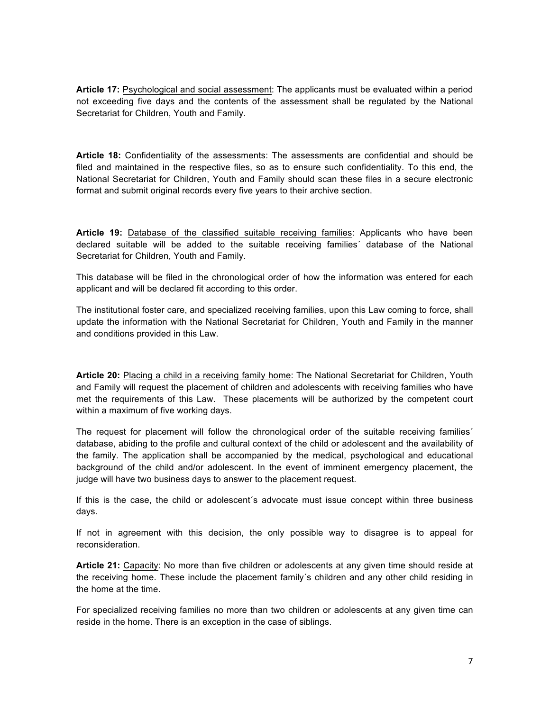**Article 17:** Psychological and social assessment: The applicants must be evaluated within a period not exceeding five days and the contents of the assessment shall be regulated by the National Secretariat for Children, Youth and Family.

**Article 18:** Confidentiality of the assessments: The assessments are confidential and should be filed and maintained in the respective files, so as to ensure such confidentiality. To this end, the National Secretariat for Children, Youth and Family should scan these files in a secure electronic format and submit original records every five years to their archive section.

**Article 19:** Database of the classified suitable receiving families: Applicants who have been declared suitable will be added to the suitable receiving families´ database of the National Secretariat for Children, Youth and Family.

This database will be filed in the chronological order of how the information was entered for each applicant and will be declared fit according to this order.

The institutional foster care, and specialized receiving families, upon this Law coming to force, shall update the information with the National Secretariat for Children, Youth and Family in the manner and conditions provided in this Law.

**Article 20:** Placing a child in a receiving family home: The National Secretariat for Children, Youth and Family will request the placement of children and adolescents with receiving families who have met the requirements of this Law. These placements will be authorized by the competent court within a maximum of five working days.

The request for placement will follow the chronological order of the suitable receiving families´ database, abiding to the profile and cultural context of the child or adolescent and the availability of the family. The application shall be accompanied by the medical, psychological and educational background of the child and/or adolescent. In the event of imminent emergency placement, the judge will have two business days to answer to the placement request.

If this is the case, the child or adolescent´s advocate must issue concept within three business days.

If not in agreement with this decision, the only possible way to disagree is to appeal for reconsideration.

**Article 21:** Capacity: No more than five children or adolescents at any given time should reside at the receiving home. These include the placement family´s children and any other child residing in the home at the time.

For specialized receiving families no more than two children or adolescents at any given time can reside in the home. There is an exception in the case of siblings.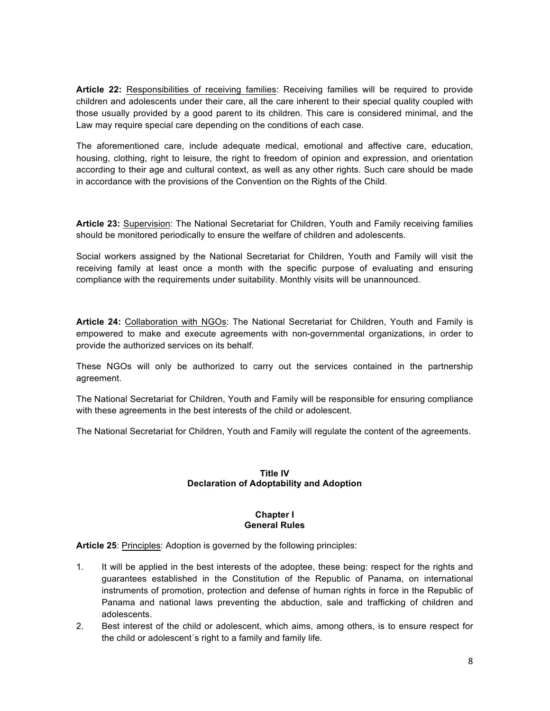**Article 22:** Responsibilities of receiving families: Receiving families will be required to provide children and adolescents under their care, all the care inherent to their special quality coupled with those usually provided by a good parent to its children. This care is considered minimal, and the Law may require special care depending on the conditions of each case.

The aforementioned care, include adequate medical, emotional and affective care, education, housing, clothing, right to leisure, the right to freedom of opinion and expression, and orientation according to their age and cultural context, as well as any other rights. Such care should be made in accordance with the provisions of the Convention on the Rights of the Child.

**Article 23:** Supervision: The National Secretariat for Children, Youth and Family receiving families should be monitored periodically to ensure the welfare of children and adolescents.

Social workers assigned by the National Secretariat for Children, Youth and Family will visit the receiving family at least once a month with the specific purpose of evaluating and ensuring compliance with the requirements under suitability. Monthly visits will be unannounced.

**Article 24:** Collaboration with NGOs: The National Secretariat for Children, Youth and Family is empowered to make and execute agreements with non-governmental organizations, in order to provide the authorized services on its behalf.

These NGOs will only be authorized to carry out the services contained in the partnership agreement.

The National Secretariat for Children, Youth and Family will be responsible for ensuring compliance with these agreements in the best interests of the child or adolescent.

The National Secretariat for Children, Youth and Family will regulate the content of the agreements.

## **Title IV Declaration of Adoptability and Adoption**

#### **Chapter I General Rules**

**Article 25**: Principles: Adoption is governed by the following principles:

- 1. It will be applied in the best interests of the adoptee, these being: respect for the rights and guarantees established in the Constitution of the Republic of Panama, on international instruments of promotion, protection and defense of human rights in force in the Republic of Panama and national laws preventing the abduction, sale and trafficking of children and adolescents.
- 2. Best interest of the child or adolescent, which aims, among others, is to ensure respect for the child or adolescent´s right to a family and family life.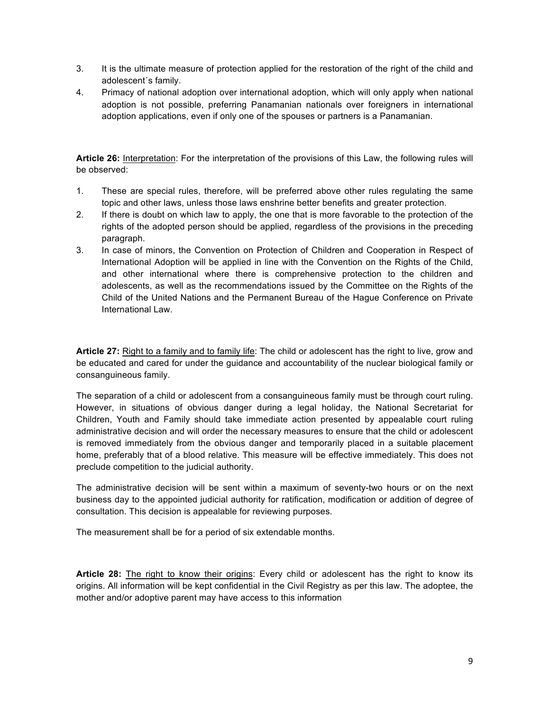- 3. It is the ultimate measure of protection applied for the restoration of the right of the child and adolescent´s family.
- 4. Primacy of national adoption over international adoption, which will only apply when national adoption is not possible, preferring Panamanian nationals over foreigners in international adoption applications, even if only one of the spouses or partners is a Panamanian.

**Article 26:** Interpretation: For the interpretation of the provisions of this Law, the following rules will be observed:

- 1. These are special rules, therefore, will be preferred above other rules regulating the same topic and other laws, unless those laws enshrine better benefits and greater protection.
- 2. If there is doubt on which law to apply, the one that is more favorable to the protection of the rights of the adopted person should be applied, regardless of the provisions in the preceding paragraph.
- 3. In case of minors, the Convention on Protection of Children and Cooperation in Respect of International Adoption will be applied in line with the Convention on the Rights of the Child, and other international where there is comprehensive protection to the children and adolescents, as well as the recommendations issued by the Committee on the Rights of the Child of the United Nations and the Permanent Bureau of the Hague Conference on Private International Law.

**Article 27:** Right to a family and to family life: The child or adolescent has the right to live, grow and be educated and cared for under the guidance and accountability of the nuclear biological family or consanguineous family.

The separation of a child or adolescent from a consanguineous family must be through court ruling. However, in situations of obvious danger during a legal holiday, the National Secretariat for Children, Youth and Family should take immediate action presented by appealable court ruling administrative decision and will order the necessary measures to ensure that the child or adolescent is removed immediately from the obvious danger and temporarily placed in a suitable placement home, preferably that of a blood relative. This measure will be effective immediately. This does not preclude competition to the judicial authority.

The administrative decision will be sent within a maximum of seventy-two hours or on the next business day to the appointed judicial authority for ratification, modification or addition of degree of consultation. This decision is appealable for reviewing purposes.

The measurement shall be for a period of six extendable months.

**Article 28:** The right to know their origins: Every child or adolescent has the right to know its origins. All information will be kept confidential in the Civil Registry as per this law. The adoptee, the mother and/or adoptive parent may have access to this information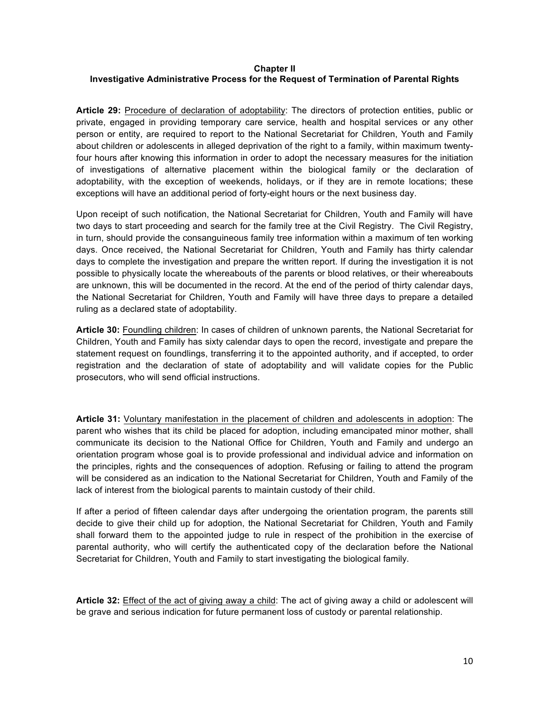## **Chapter II Investigative Administrative Process for the Request of Termination of Parental Rights**

**Article 29:** Procedure of declaration of adoptability: The directors of protection entities, public or private, engaged in providing temporary care service, health and hospital services or any other person or entity, are required to report to the National Secretariat for Children, Youth and Family about children or adolescents in alleged deprivation of the right to a family, within maximum twentyfour hours after knowing this information in order to adopt the necessary measures for the initiation of investigations of alternative placement within the biological family or the declaration of adoptability, with the exception of weekends, holidays, or if they are in remote locations; these exceptions will have an additional period of forty-eight hours or the next business day.

Upon receipt of such notification, the National Secretariat for Children, Youth and Family will have two days to start proceeding and search for the family tree at the Civil Registry. The Civil Registry, in turn, should provide the consanguineous family tree information within a maximum of ten working days. Once received, the National Secretariat for Children, Youth and Family has thirty calendar days to complete the investigation and prepare the written report. If during the investigation it is not possible to physically locate the whereabouts of the parents or blood relatives, or their whereabouts are unknown, this will be documented in the record. At the end of the period of thirty calendar days, the National Secretariat for Children, Youth and Family will have three days to prepare a detailed ruling as a declared state of adoptability.

**Article 30:** Foundling children: In cases of children of unknown parents, the National Secretariat for Children, Youth and Family has sixty calendar days to open the record, investigate and prepare the statement request on foundlings, transferring it to the appointed authority, and if accepted, to order registration and the declaration of state of adoptability and will validate copies for the Public prosecutors, who will send official instructions.

**Article 31:** Voluntary manifestation in the placement of children and adolescents in adoption: The parent who wishes that its child be placed for adoption, including emancipated minor mother, shall communicate its decision to the National Office for Children, Youth and Family and undergo an orientation program whose goal is to provide professional and individual advice and information on the principles, rights and the consequences of adoption. Refusing or failing to attend the program will be considered as an indication to the National Secretariat for Children, Youth and Family of the lack of interest from the biological parents to maintain custody of their child.

If after a period of fifteen calendar days after undergoing the orientation program, the parents still decide to give their child up for adoption, the National Secretariat for Children, Youth and Family shall forward them to the appointed judge to rule in respect of the prohibition in the exercise of parental authority, who will certify the authenticated copy of the declaration before the National Secretariat for Children, Youth and Family to start investigating the biological family.

**Article 32:** Effect of the act of giving away a child: The act of giving away a child or adolescent will be grave and serious indication for future permanent loss of custody or parental relationship.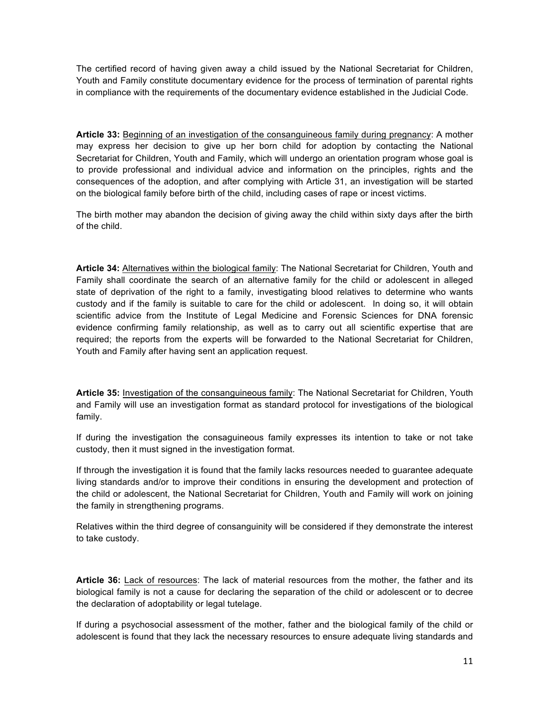The certified record of having given away a child issued by the National Secretariat for Children, Youth and Family constitute documentary evidence for the process of termination of parental rights in compliance with the requirements of the documentary evidence established in the Judicial Code.

**Article 33:** Beginning of an investigation of the consanguineous family during pregnancy: A mother may express her decision to give up her born child for adoption by contacting the National Secretariat for Children, Youth and Family, which will undergo an orientation program whose goal is to provide professional and individual advice and information on the principles, rights and the consequences of the adoption, and after complying with Article 31, an investigation will be started on the biological family before birth of the child, including cases of rape or incest victims.

The birth mother may abandon the decision of giving away the child within sixty days after the birth of the child.

**Article 34:** Alternatives within the biological family: The National Secretariat for Children, Youth and Family shall coordinate the search of an alternative family for the child or adolescent in alleged state of deprivation of the right to a family, investigating blood relatives to determine who wants custody and if the family is suitable to care for the child or adolescent. In doing so, it will obtain scientific advice from the Institute of Legal Medicine and Forensic Sciences for DNA forensic evidence confirming family relationship, as well as to carry out all scientific expertise that are required; the reports from the experts will be forwarded to the National Secretariat for Children, Youth and Family after having sent an application request.

**Article 35:** Investigation of the consanguineous family: The National Secretariat for Children, Youth and Family will use an investigation format as standard protocol for investigations of the biological family.

If during the investigation the consaguineous family expresses its intention to take or not take custody, then it must signed in the investigation format.

If through the investigation it is found that the family lacks resources needed to guarantee adequate living standards and/or to improve their conditions in ensuring the development and protection of the child or adolescent, the National Secretariat for Children, Youth and Family will work on joining the family in strengthening programs.

Relatives within the third degree of consanguinity will be considered if they demonstrate the interest to take custody.

**Article 36:** Lack of resources: The lack of material resources from the mother, the father and its biological family is not a cause for declaring the separation of the child or adolescent or to decree the declaration of adoptability or legal tutelage.

If during a psychosocial assessment of the mother, father and the biological family of the child or adolescent is found that they lack the necessary resources to ensure adequate living standards and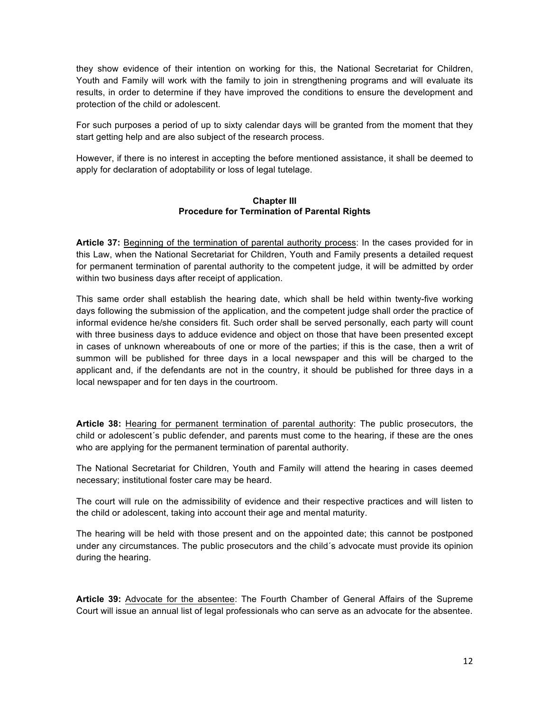they show evidence of their intention on working for this, the National Secretariat for Children, Youth and Family will work with the family to join in strengthening programs and will evaluate its results, in order to determine if they have improved the conditions to ensure the development and protection of the child or adolescent.

For such purposes a period of up to sixty calendar days will be granted from the moment that they start getting help and are also subject of the research process.

However, if there is no interest in accepting the before mentioned assistance, it shall be deemed to apply for declaration of adoptability or loss of legal tutelage.

## **Chapter III Procedure for Termination of Parental Rights**

**Article 37:** Beginning of the termination of parental authority process: In the cases provided for in this Law, when the National Secretariat for Children, Youth and Family presents a detailed request for permanent termination of parental authority to the competent judge, it will be admitted by order within two business days after receipt of application.

This same order shall establish the hearing date, which shall be held within twenty-five working days following the submission of the application, and the competent judge shall order the practice of informal evidence he/she considers fit. Such order shall be served personally, each party will count with three business days to adduce evidence and object on those that have been presented except in cases of unknown whereabouts of one or more of the parties; if this is the case, then a writ of summon will be published for three days in a local newspaper and this will be charged to the applicant and, if the defendants are not in the country, it should be published for three days in a local newspaper and for ten days in the courtroom.

**Article 38:** Hearing for permanent termination of parental authority: The public prosecutors, the child or adolescent´s public defender, and parents must come to the hearing, if these are the ones who are applying for the permanent termination of parental authority.

The National Secretariat for Children, Youth and Family will attend the hearing in cases deemed necessary; institutional foster care may be heard.

The court will rule on the admissibility of evidence and their respective practices and will listen to the child or adolescent, taking into account their age and mental maturity.

The hearing will be held with those present and on the appointed date; this cannot be postponed under any circumstances. The public prosecutors and the child´s advocate must provide its opinion during the hearing.

**Article 39:** Advocate for the absentee: The Fourth Chamber of General Affairs of the Supreme Court will issue an annual list of legal professionals who can serve as an advocate for the absentee.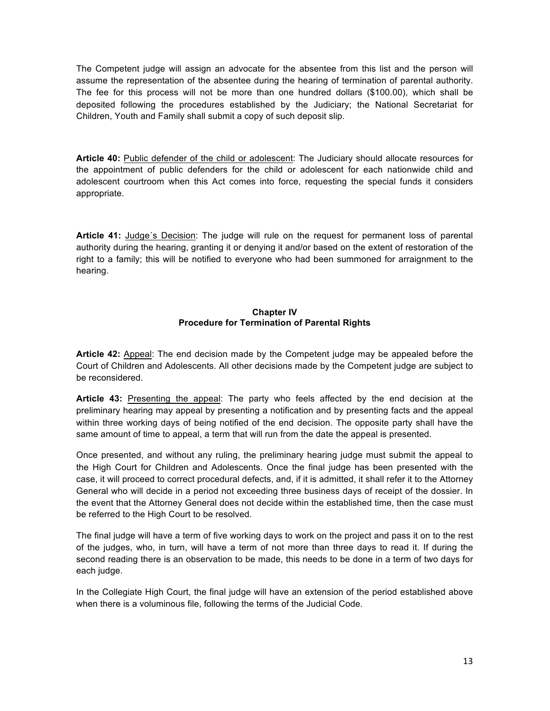The Competent judge will assign an advocate for the absentee from this list and the person will assume the representation of the absentee during the hearing of termination of parental authority. The fee for this process will not be more than one hundred dollars (\$100.00), which shall be deposited following the procedures established by the Judiciary; the National Secretariat for Children, Youth and Family shall submit a copy of such deposit slip.

**Article 40:** Public defender of the child or adolescent: The Judiciary should allocate resources for the appointment of public defenders for the child or adolescent for each nationwide child and adolescent courtroom when this Act comes into force, requesting the special funds it considers appropriate.

**Article 41:** Judge´s Decision: The judge will rule on the request for permanent loss of parental authority during the hearing, granting it or denying it and/or based on the extent of restoration of the right to a family; this will be notified to everyone who had been summoned for arraignment to the hearing.

### **Chapter IV Procedure for Termination of Parental Rights**

**Article 42:** Appeal: The end decision made by the Competent judge may be appealed before the Court of Children and Adolescents. All other decisions made by the Competent judge are subject to be reconsidered.

**Article 43:** Presenting the appeal: The party who feels affected by the end decision at the preliminary hearing may appeal by presenting a notification and by presenting facts and the appeal within three working days of being notified of the end decision. The opposite party shall have the same amount of time to appeal, a term that will run from the date the appeal is presented.

Once presented, and without any ruling, the preliminary hearing judge must submit the appeal to the High Court for Children and Adolescents. Once the final judge has been presented with the case, it will proceed to correct procedural defects, and, if it is admitted, it shall refer it to the Attorney General who will decide in a period not exceeding three business days of receipt of the dossier. In the event that the Attorney General does not decide within the established time, then the case must be referred to the High Court to be resolved.

The final judge will have a term of five working days to work on the project and pass it on to the rest of the judges, who, in turn, will have a term of not more than three days to read it. If during the second reading there is an observation to be made, this needs to be done in a term of two days for each judge.

In the Collegiate High Court, the final judge will have an extension of the period established above when there is a voluminous file, following the terms of the Judicial Code.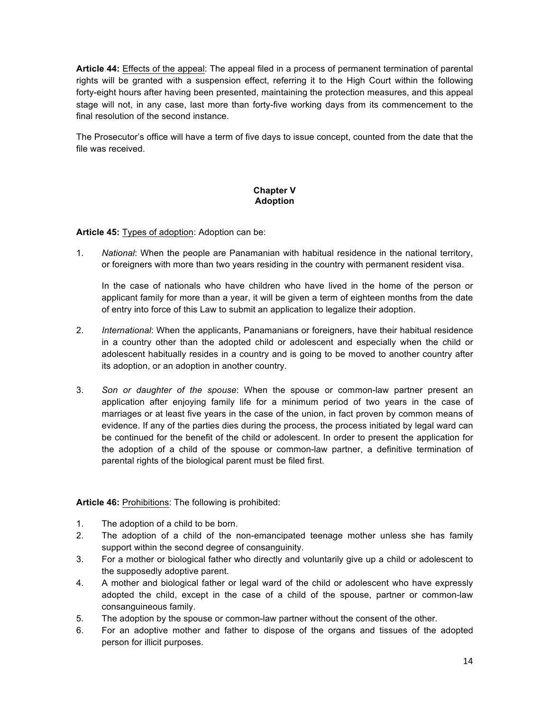**Article 44:** Effects of the appeal: The appeal filed in a process of permanent termination of parental rights will be granted with a suspension effect, referring it to the High Court within the following forty-eight hours after having been presented, maintaining the protection measures, and this appeal stage will not, in any case, last more than forty-five working days from its commencement to the final resolution of the second instance.

The Prosecutor's office will have a term of five days to issue concept, counted from the date that the file was received.

## **Chapter V Adoption**

**Article 45:** Types of adoption: Adoption can be:

1. *National*: When the people are Panamanian with habitual residence in the national territory, or foreigners with more than two years residing in the country with permanent resident visa.

In the case of nationals who have children who have lived in the home of the person or applicant family for more than a year, it will be given a term of eighteen months from the date of entry into force of this Law to submit an application to legalize their adoption.

- 2. *International*: When the applicants, Panamanians or foreigners, have their habitual residence in a country other than the adopted child or adolescent and especially when the child or adolescent habitually resides in a country and is going to be moved to another country after its adoption, or an adoption in another country.
- 3. *Son or daughter of the spouse*: When the spouse or common-law partner present an application after enjoying family life for a minimum period of two years in the case of marriages or at least five years in the case of the union, in fact proven by common means of evidence. If any of the parties dies during the process, the process initiated by legal ward can be continued for the benefit of the child or adolescent. In order to present the application for the adoption of a child of the spouse or common-law partner, a definitive termination of parental rights of the biological parent must be filed first.

**Article 46:** Prohibitions: The following is prohibited:

- 1. The adoption of a child to be born.
- 2. The adoption of a child of the non-emancipated teenage mother unless she has family support within the second degree of consanguinity.
- 3. For a mother or biological father who directly and voluntarily give up a child or adolescent to the supposedly adoptive parent.
- 4. A mother and biological father or legal ward of the child or adolescent who have expressly adopted the child, except in the case of a child of the spouse, partner or common-law consanguineous family.
- 5. The adoption by the spouse or common-law partner without the consent of the other.
- 6. For an adoptive mother and father to dispose of the organs and tissues of the adopted person for illicit purposes.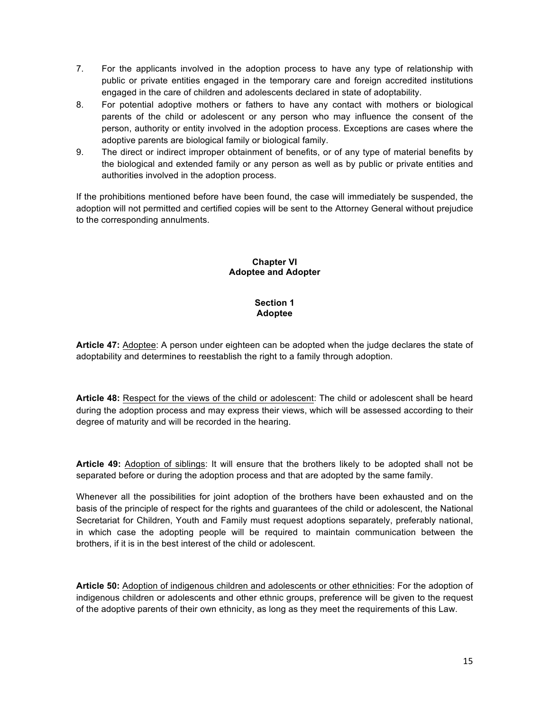- 7. For the applicants involved in the adoption process to have any type of relationship with public or private entities engaged in the temporary care and foreign accredited institutions engaged in the care of children and adolescents declared in state of adoptability.
- 8. For potential adoptive mothers or fathers to have any contact with mothers or biological parents of the child or adolescent or any person who may influence the consent of the person, authority or entity involved in the adoption process. Exceptions are cases where the adoptive parents are biological family or biological family.
- 9. The direct or indirect improper obtainment of benefits, or of any type of material benefits by the biological and extended family or any person as well as by public or private entities and authorities involved in the adoption process.

If the prohibitions mentioned before have been found, the case will immediately be suspended, the adoption will not permitted and certified copies will be sent to the Attorney General without prejudice to the corresponding annulments.

### **Chapter VI Adoptee and Adopter**

## **Section 1 Adoptee**

**Article 47:** Adoptee: A person under eighteen can be adopted when the judge declares the state of adoptability and determines to reestablish the right to a family through adoption.

**Article 48:** Respect for the views of the child or adolescent: The child or adolescent shall be heard during the adoption process and may express their views, which will be assessed according to their degree of maturity and will be recorded in the hearing.

**Article 49:** Adoption of siblings: It will ensure that the brothers likely to be adopted shall not be separated before or during the adoption process and that are adopted by the same family.

Whenever all the possibilities for joint adoption of the brothers have been exhausted and on the basis of the principle of respect for the rights and guarantees of the child or adolescent, the National Secretariat for Children, Youth and Family must request adoptions separately, preferably national, in which case the adopting people will be required to maintain communication between the brothers, if it is in the best interest of the child or adolescent.

**Article 50:** Adoption of indigenous children and adolescents or other ethnicities: For the adoption of indigenous children or adolescents and other ethnic groups, preference will be given to the request of the adoptive parents of their own ethnicity, as long as they meet the requirements of this Law.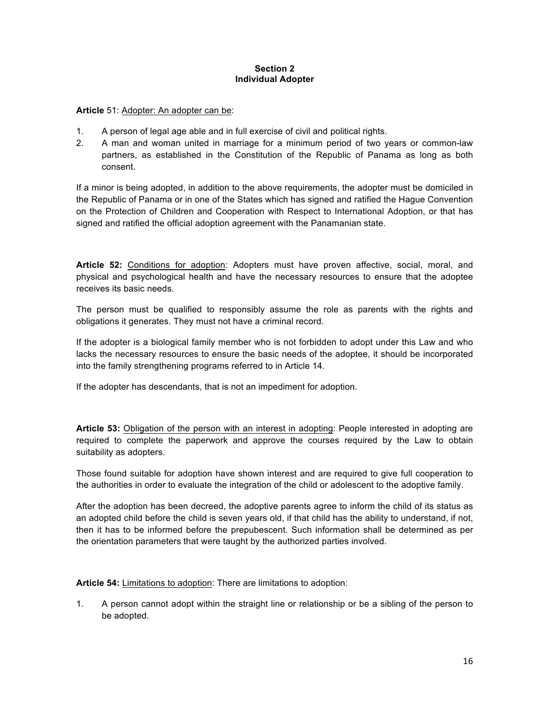### **Section 2 Individual Adopter**

### **Article** 51: Adopter: An adopter can be:

- 1. A person of legal age able and in full exercise of civil and political rights.
- 2. A man and woman united in marriage for a minimum period of two years or common-law partners, as established in the Constitution of the Republic of Panama as long as both consent.

If a minor is being adopted, in addition to the above requirements, the adopter must be domiciled in the Republic of Panama or in one of the States which has signed and ratified the Hague Convention on the Protection of Children and Cooperation with Respect to International Adoption, or that has signed and ratified the official adoption agreement with the Panamanian state.

**Article 52:** Conditions for adoption: Adopters must have proven affective, social, moral, and physical and psychological health and have the necessary resources to ensure that the adoptee receives its basic needs.

The person must be qualified to responsibly assume the role as parents with the rights and obligations it generates. They must not have a criminal record.

If the adopter is a biological family member who is not forbidden to adopt under this Law and who lacks the necessary resources to ensure the basic needs of the adoptee, it should be incorporated into the family strengthening programs referred to in Article 14.

If the adopter has descendants, that is not an impediment for adoption.

**Article 53:** Obligation of the person with an interest in adopting: People interested in adopting are required to complete the paperwork and approve the courses required by the Law to obtain suitability as adopters.

Those found suitable for adoption have shown interest and are required to give full cooperation to the authorities in order to evaluate the integration of the child or adolescent to the adoptive family.

After the adoption has been decreed, the adoptive parents agree to inform the child of its status as an adopted child before the child is seven years old, if that child has the ability to understand, if not, then it has to be informed before the prepubescent. Such information shall be determined as per the orientation parameters that were taught by the authorized parties involved.

**Article 54:** Limitations to adoption: There are limitations to adoption:

1. A person cannot adopt within the straight line or relationship or be a sibling of the person to be adopted.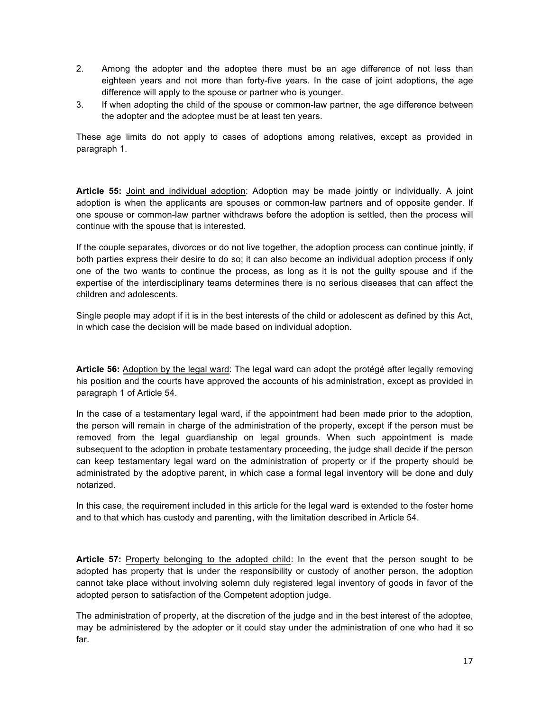- 2. Among the adopter and the adoptee there must be an age difference of not less than eighteen years and not more than forty-five years. In the case of joint adoptions, the age difference will apply to the spouse or partner who is younger.
- 3. If when adopting the child of the spouse or common-law partner, the age difference between the adopter and the adoptee must be at least ten years.

These age limits do not apply to cases of adoptions among relatives, except as provided in paragraph 1.

**Article 55:** Joint and individual adoption: Adoption may be made jointly or individually. A joint adoption is when the applicants are spouses or common-law partners and of opposite gender. If one spouse or common-law partner withdraws before the adoption is settled, then the process will continue with the spouse that is interested.

If the couple separates, divorces or do not live together, the adoption process can continue jointly, if both parties express their desire to do so; it can also become an individual adoption process if only one of the two wants to continue the process, as long as it is not the guilty spouse and if the expertise of the interdisciplinary teams determines there is no serious diseases that can affect the children and adolescents.

Single people may adopt if it is in the best interests of the child or adolescent as defined by this Act, in which case the decision will be made based on individual adoption.

**Article 56:** Adoption by the legal ward: The legal ward can adopt the protégé after legally removing his position and the courts have approved the accounts of his administration, except as provided in paragraph 1 of Article 54.

In the case of a testamentary legal ward, if the appointment had been made prior to the adoption, the person will remain in charge of the administration of the property, except if the person must be removed from the legal guardianship on legal grounds. When such appointment is made subsequent to the adoption in probate testamentary proceeding, the judge shall decide if the person can keep testamentary legal ward on the administration of property or if the property should be administrated by the adoptive parent, in which case a formal legal inventory will be done and duly notarized.

In this case, the requirement included in this article for the legal ward is extended to the foster home and to that which has custody and parenting, with the limitation described in Article 54.

**Article 57:** Property belonging to the adopted child: In the event that the person sought to be adopted has property that is under the responsibility or custody of another person, the adoption cannot take place without involving solemn duly registered legal inventory of goods in favor of the adopted person to satisfaction of the Competent adoption judge.

The administration of property, at the discretion of the judge and in the best interest of the adoptee, may be administered by the adopter or it could stay under the administration of one who had it so far.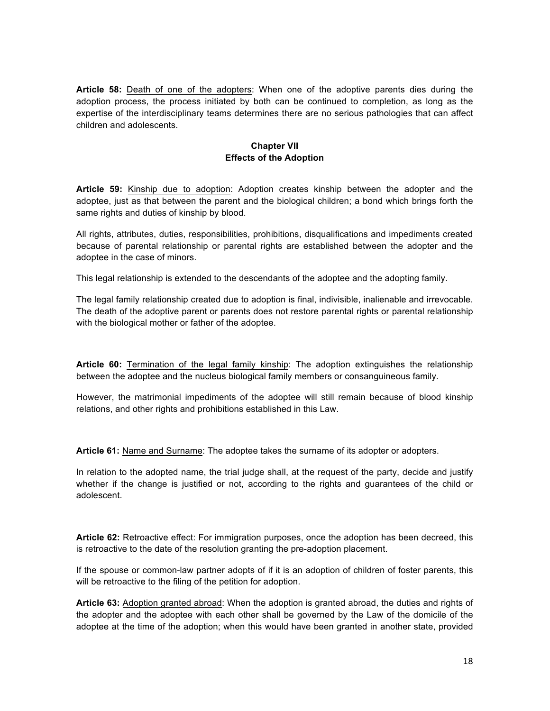**Article 58:** Death of one of the adopters: When one of the adoptive parents dies during the adoption process, the process initiated by both can be continued to completion, as long as the expertise of the interdisciplinary teams determines there are no serious pathologies that can affect children and adolescents.

## **Chapter VII Effects of the Adoption**

**Article 59:** Kinship due to adoption: Adoption creates kinship between the adopter and the adoptee, just as that between the parent and the biological children; a bond which brings forth the same rights and duties of kinship by blood.

All rights, attributes, duties, responsibilities, prohibitions, disqualifications and impediments created because of parental relationship or parental rights are established between the adopter and the adoptee in the case of minors.

This legal relationship is extended to the descendants of the adoptee and the adopting family.

The legal family relationship created due to adoption is final, indivisible, inalienable and irrevocable. The death of the adoptive parent or parents does not restore parental rights or parental relationship with the biological mother or father of the adoptee.

**Article 60:** Termination of the legal family kinship: The adoption extinguishes the relationship between the adoptee and the nucleus biological family members or consanguineous family.

However, the matrimonial impediments of the adoptee will still remain because of blood kinship relations, and other rights and prohibitions established in this Law.

**Article 61:** Name and Surname: The adoptee takes the surname of its adopter or adopters.

In relation to the adopted name, the trial judge shall, at the request of the party, decide and justify whether if the change is justified or not, according to the rights and guarantees of the child or adolescent.

**Article 62:** Retroactive effect: For immigration purposes, once the adoption has been decreed, this is retroactive to the date of the resolution granting the pre-adoption placement.

If the spouse or common-law partner adopts of if it is an adoption of children of foster parents, this will be retroactive to the filing of the petition for adoption.

**Article 63:** Adoption granted abroad: When the adoption is granted abroad, the duties and rights of the adopter and the adoptee with each other shall be governed by the Law of the domicile of the adoptee at the time of the adoption; when this would have been granted in another state, provided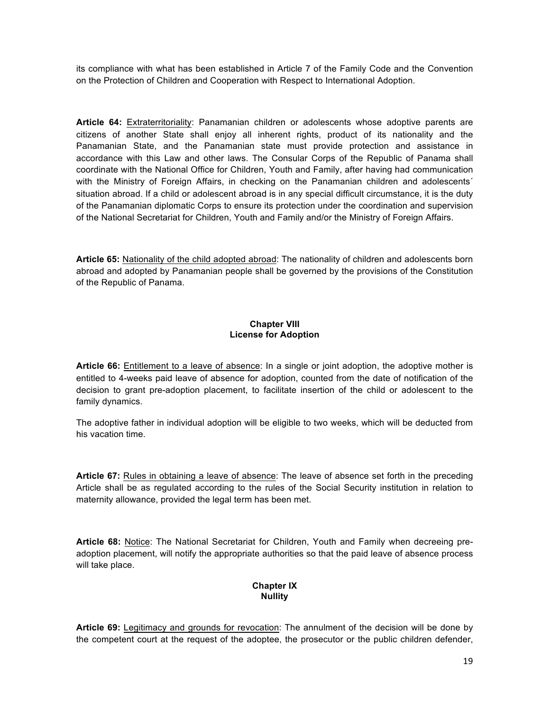its compliance with what has been established in Article 7 of the Family Code and the Convention on the Protection of Children and Cooperation with Respect to International Adoption.

**Article 64:** Extraterritoriality: Panamanian children or adolescents whose adoptive parents are citizens of another State shall enjoy all inherent rights, product of its nationality and the Panamanian State, and the Panamanian state must provide protection and assistance in accordance with this Law and other laws. The Consular Corps of the Republic of Panama shall coordinate with the National Office for Children, Youth and Family, after having had communication with the Ministry of Foreign Affairs, in checking on the Panamanian children and adolescents<sup>®</sup> situation abroad. If a child or adolescent abroad is in any special difficult circumstance, it is the duty of the Panamanian diplomatic Corps to ensure its protection under the coordination and supervision of the National Secretariat for Children, Youth and Family and/or the Ministry of Foreign Affairs.

**Article 65:** Nationality of the child adopted abroad: The nationality of children and adolescents born abroad and adopted by Panamanian people shall be governed by the provisions of the Constitution of the Republic of Panama.

## **Chapter VIII License for Adoption**

**Article 66:** Entitlement to a leave of absence: In a single or joint adoption, the adoptive mother is entitled to 4-weeks paid leave of absence for adoption, counted from the date of notification of the decision to grant pre-adoption placement, to facilitate insertion of the child or adolescent to the family dynamics.

The adoptive father in individual adoption will be eligible to two weeks, which will be deducted from his vacation time.

**Article 67:** Rules in obtaining a leave of absence: The leave of absence set forth in the preceding Article shall be as regulated according to the rules of the Social Security institution in relation to maternity allowance, provided the legal term has been met.

**Article 68:** Notice: The National Secretariat for Children, Youth and Family when decreeing preadoption placement, will notify the appropriate authorities so that the paid leave of absence process will take place.

## **Chapter IX Nullity**

**Article 69:** Legitimacy and grounds for revocation: The annulment of the decision will be done by the competent court at the request of the adoptee, the prosecutor or the public children defender,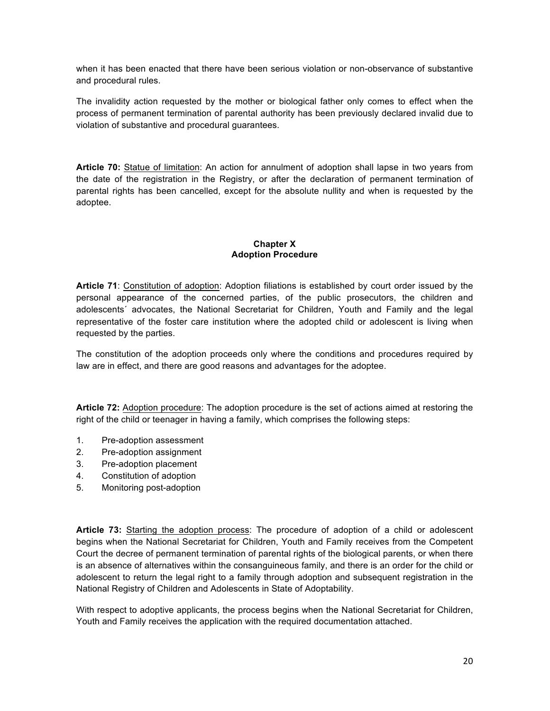when it has been enacted that there have been serious violation or non-observance of substantive and procedural rules.

The invalidity action requested by the mother or biological father only comes to effect when the process of permanent termination of parental authority has been previously declared invalid due to violation of substantive and procedural guarantees.

**Article 70:** Statue of limitation: An action for annulment of adoption shall lapse in two years from the date of the registration in the Registry, or after the declaration of permanent termination of parental rights has been cancelled, except for the absolute nullity and when is requested by the adoptee.

## **Chapter X Adoption Procedure**

**Article 71**: Constitution of adoption: Adoption filiations is established by court order issued by the personal appearance of the concerned parties, of the public prosecutors, the children and adolescents´ advocates, the National Secretariat for Children, Youth and Family and the legal representative of the foster care institution where the adopted child or adolescent is living when requested by the parties.

The constitution of the adoption proceeds only where the conditions and procedures required by law are in effect, and there are good reasons and advantages for the adoptee.

**Article 72:** Adoption procedure: The adoption procedure is the set of actions aimed at restoring the right of the child or teenager in having a family, which comprises the following steps:

- 1. Pre-adoption assessment
- 2. Pre-adoption assignment
- 3. Pre-adoption placement
- 4. Constitution of adoption
- 5. Monitoring post-adoption

**Article 73:** Starting the adoption process: The procedure of adoption of a child or adolescent begins when the National Secretariat for Children, Youth and Family receives from the Competent Court the decree of permanent termination of parental rights of the biological parents, or when there is an absence of alternatives within the consanguineous family, and there is an order for the child or adolescent to return the legal right to a family through adoption and subsequent registration in the National Registry of Children and Adolescents in State of Adoptability.

With respect to adoptive applicants, the process begins when the National Secretariat for Children, Youth and Family receives the application with the required documentation attached.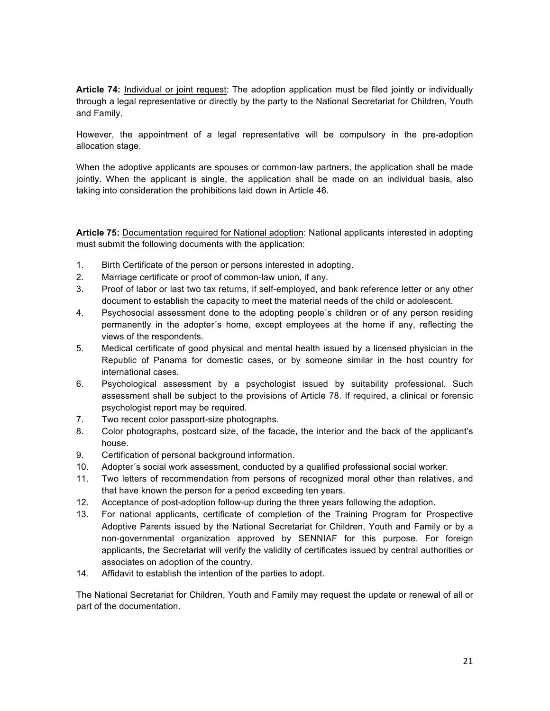**Article 74:** Individual or joint request: The adoption application must be filed jointly or individually through a legal representative or directly by the party to the National Secretariat for Children, Youth and Family.

However, the appointment of a legal representative will be compulsory in the pre-adoption allocation stage.

When the adoptive applicants are spouses or common-law partners, the application shall be made jointly. When the applicant is single, the application shall be made on an individual basis, also taking into consideration the prohibitions laid down in Article 46.

**Article 75:** Documentation required for National adoption: National applicants interested in adopting must submit the following documents with the application:

- 1. Birth Certificate of the person or persons interested in adopting.
- 2. Marriage certificate or proof of common-law union, if any.
- 3. Proof of labor or last two tax returns, if self-employed, and bank reference letter or any other document to establish the capacity to meet the material needs of the child or adolescent.
- 4. Psychosocial assessment done to the adopting people´s children or of any person residing permanently in the adopter´s home, except employees at the home if any, reflecting the views of the respondents.
- 5. Medical certificate of good physical and mental health issued by a licensed physician in the Republic of Panama for domestic cases, or by someone similar in the host country for international cases.
- 6. Psychological assessment by a psychologist issued by suitability professional. Such assessment shall be subject to the provisions of Article 78. If required, a clinical or forensic psychologist report may be required.
- 7. Two recent color passport-size photographs.
- 8. Color photographs, postcard size, of the facade, the interior and the back of the applicant's house.
- 9. Certification of personal background information.
- 10. Adopter´s social work assessment, conducted by a qualified professional social worker.
- 11. Two letters of recommendation from persons of recognized moral other than relatives, and that have known the person for a period exceeding ten years.
- 12. Acceptance of post-adoption follow-up during the three years following the adoption.
- 13. For national applicants, certificate of completion of the Training Program for Prospective Adoptive Parents issued by the National Secretariat for Children, Youth and Family or by a non-governmental organization approved by SENNIAF for this purpose. For foreign applicants, the Secretariat will verify the validity of certificates issued by central authorities or associates on adoption of the country.
- 14. Affidavit to establish the intention of the parties to adopt.

The National Secretariat for Children, Youth and Family may request the update or renewal of all or part of the documentation.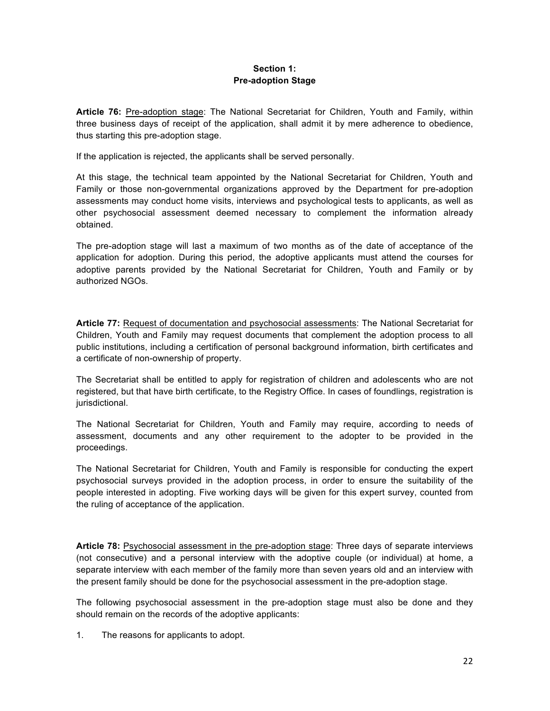## **Section 1: Pre-adoption Stage**

**Article 76:** Pre-adoption stage: The National Secretariat for Children, Youth and Family, within three business days of receipt of the application, shall admit it by mere adherence to obedience, thus starting this pre-adoption stage.

If the application is rejected, the applicants shall be served personally.

At this stage, the technical team appointed by the National Secretariat for Children, Youth and Family or those non-governmental organizations approved by the Department for pre-adoption assessments may conduct home visits, interviews and psychological tests to applicants, as well as other psychosocial assessment deemed necessary to complement the information already obtained.

The pre-adoption stage will last a maximum of two months as of the date of acceptance of the application for adoption. During this period, the adoptive applicants must attend the courses for adoptive parents provided by the National Secretariat for Children, Youth and Family or by authorized NGOs.

**Article 77:** Request of documentation and psychosocial assessments: The National Secretariat for Children, Youth and Family may request documents that complement the adoption process to all public institutions, including a certification of personal background information, birth certificates and a certificate of non-ownership of property.

The Secretariat shall be entitled to apply for registration of children and adolescents who are not registered, but that have birth certificate, to the Registry Office. In cases of foundlings, registration is jurisdictional.

The National Secretariat for Children, Youth and Family may require, according to needs of assessment, documents and any other requirement to the adopter to be provided in the proceedings.

The National Secretariat for Children, Youth and Family is responsible for conducting the expert psychosocial surveys provided in the adoption process, in order to ensure the suitability of the people interested in adopting. Five working days will be given for this expert survey, counted from the ruling of acceptance of the application.

**Article 78:** Psychosocial assessment in the pre-adoption stage: Three days of separate interviews (not consecutive) and a personal interview with the adoptive couple (or individual) at home, a separate interview with each member of the family more than seven years old and an interview with the present family should be done for the psychosocial assessment in the pre-adoption stage.

The following psychosocial assessment in the pre-adoption stage must also be done and they should remain on the records of the adoptive applicants:

1. The reasons for applicants to adopt.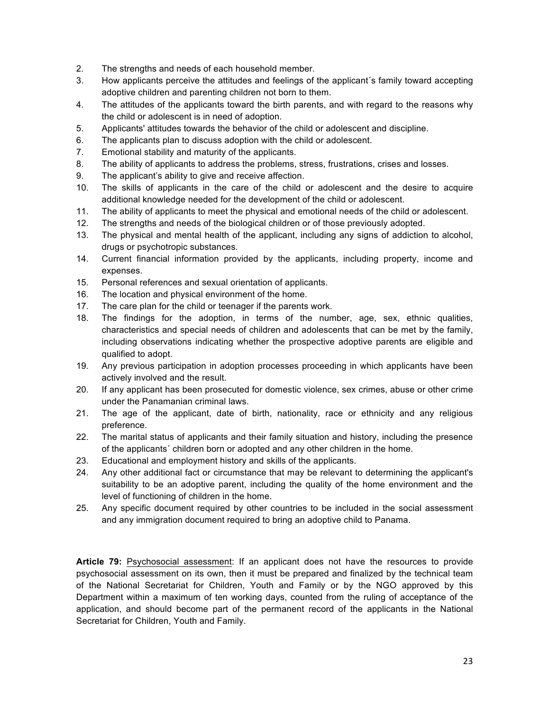- 2. The strengths and needs of each household member.
- 3. How applicants perceive the attitudes and feelings of the applicant´s family toward accepting adoptive children and parenting children not born to them.
- 4. The attitudes of the applicants toward the birth parents, and with regard to the reasons why the child or adolescent is in need of adoption.
- 5. Applicants' attitudes towards the behavior of the child or adolescent and discipline.
- 6. The applicants plan to discuss adoption with the child or adolescent.
- 7. Emotional stability and maturity of the applicants.
- 8. The ability of applicants to address the problems, stress, frustrations, crises and losses.
- 9. The applicant's ability to give and receive affection.
- 10. The skills of applicants in the care of the child or adolescent and the desire to acquire additional knowledge needed for the development of the child or adolescent.
- 11. The ability of applicants to meet the physical and emotional needs of the child or adolescent.
- 12. The strengths and needs of the biological children or of those previously adopted.
- 13. The physical and mental health of the applicant, including any signs of addiction to alcohol, drugs or psychotropic substances.
- 14. Current financial information provided by the applicants, including property, income and expenses.
- 15. Personal references and sexual orientation of applicants.
- 16. The location and physical environment of the home.
- 17. The care plan for the child or teenager if the parents work.
- 18. The findings for the adoption, in terms of the number, age, sex, ethnic qualities, characteristics and special needs of children and adolescents that can be met by the family, including observations indicating whether the prospective adoptive parents are eligible and qualified to adopt.
- 19. Any previous participation in adoption processes proceeding in which applicants have been actively involved and the result.
- 20. If any applicant has been prosecuted for domestic violence, sex crimes, abuse or other crime under the Panamanian criminal laws.
- 21. The age of the applicant, date of birth, nationality, race or ethnicity and any religious preference.
- 22. The marital status of applicants and their family situation and history, including the presence of the applicants´ children born or adopted and any other children in the home.
- 23. Educational and employment history and skills of the applicants.
- 24. Any other additional fact or circumstance that may be relevant to determining the applicant's suitability to be an adoptive parent, including the quality of the home environment and the level of functioning of children in the home.
- 25. Any specific document required by other countries to be included in the social assessment and any immigration document required to bring an adoptive child to Panama.

**Article 79:** Psychosocial assessment: If an applicant does not have the resources to provide psychosocial assessment on its own, then it must be prepared and finalized by the technical team of the National Secretariat for Children, Youth and Family or by the NGO approved by this Department within a maximum of ten working days, counted from the ruling of acceptance of the application, and should become part of the permanent record of the applicants in the National Secretariat for Children, Youth and Family.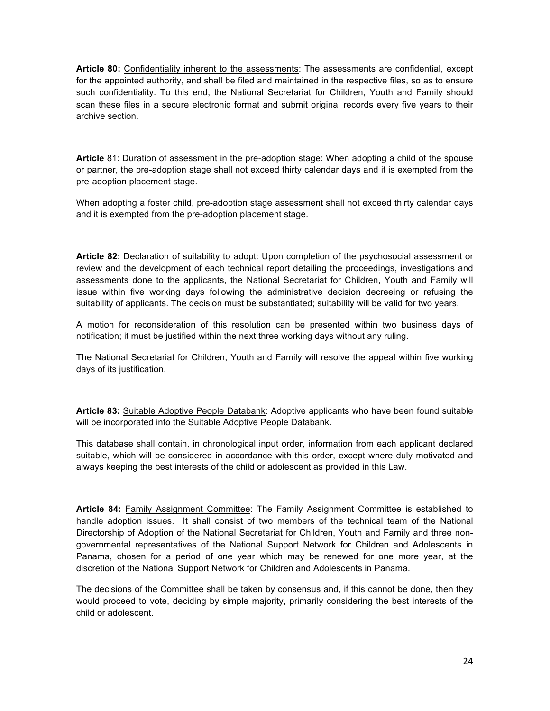**Article 80:** Confidentiality inherent to the assessments: The assessments are confidential, except for the appointed authority, and shall be filed and maintained in the respective files, so as to ensure such confidentiality. To this end, the National Secretariat for Children, Youth and Family should scan these files in a secure electronic format and submit original records every five years to their archive section.

**Article** 81: Duration of assessment in the pre-adoption stage: When adopting a child of the spouse or partner, the pre-adoption stage shall not exceed thirty calendar days and it is exempted from the pre-adoption placement stage.

When adopting a foster child, pre-adoption stage assessment shall not exceed thirty calendar days and it is exempted from the pre-adoption placement stage.

**Article 82:** Declaration of suitability to adopt: Upon completion of the psychosocial assessment or review and the development of each technical report detailing the proceedings, investigations and assessments done to the applicants, the National Secretariat for Children, Youth and Family will issue within five working days following the administrative decision decreeing or refusing the suitability of applicants. The decision must be substantiated; suitability will be valid for two years.

A motion for reconsideration of this resolution can be presented within two business days of notification; it must be justified within the next three working days without any ruling.

The National Secretariat for Children, Youth and Family will resolve the appeal within five working days of its justification.

**Article 83:** Suitable Adoptive People Databank: Adoptive applicants who have been found suitable will be incorporated into the Suitable Adoptive People Databank.

This database shall contain, in chronological input order, information from each applicant declared suitable, which will be considered in accordance with this order, except where duly motivated and always keeping the best interests of the child or adolescent as provided in this Law.

**Article 84:** Family Assignment Committee: The Family Assignment Committee is established to handle adoption issues. It shall consist of two members of the technical team of the National Directorship of Adoption of the National Secretariat for Children, Youth and Family and three nongovernmental representatives of the National Support Network for Children and Adolescents in Panama, chosen for a period of one year which may be renewed for one more year, at the discretion of the National Support Network for Children and Adolescents in Panama.

The decisions of the Committee shall be taken by consensus and, if this cannot be done, then they would proceed to vote, deciding by simple majority, primarily considering the best interests of the child or adolescent.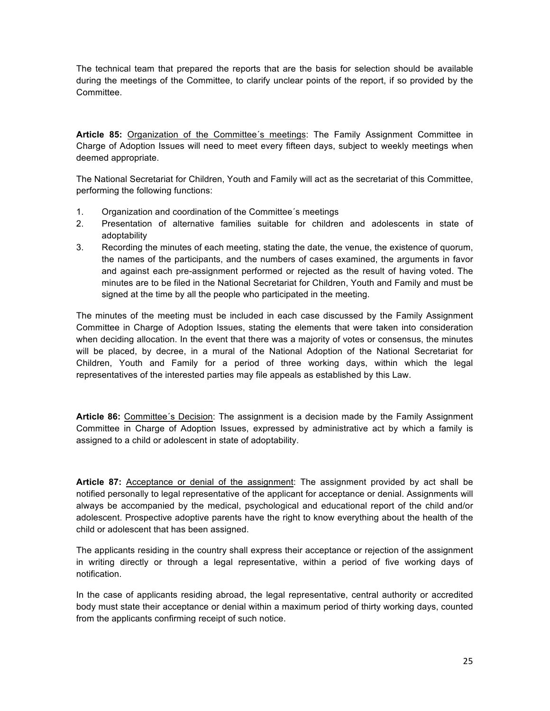The technical team that prepared the reports that are the basis for selection should be available during the meetings of the Committee, to clarify unclear points of the report, if so provided by the Committee.

**Article 85:** Organization of the Committee´s meetings: The Family Assignment Committee in Charge of Adoption Issues will need to meet every fifteen days, subject to weekly meetings when deemed appropriate.

The National Secretariat for Children, Youth and Family will act as the secretariat of this Committee, performing the following functions:

- 1. Organization and coordination of the Committee´s meetings
- 2. Presentation of alternative families suitable for children and adolescents in state of adoptability
- 3. Recording the minutes of each meeting, stating the date, the venue, the existence of quorum, the names of the participants, and the numbers of cases examined, the arguments in favor and against each pre-assignment performed or rejected as the result of having voted. The minutes are to be filed in the National Secretariat for Children, Youth and Family and must be signed at the time by all the people who participated in the meeting.

The minutes of the meeting must be included in each case discussed by the Family Assignment Committee in Charge of Adoption Issues, stating the elements that were taken into consideration when deciding allocation. In the event that there was a majority of votes or consensus, the minutes will be placed, by decree, in a mural of the National Adoption of the National Secretariat for Children, Youth and Family for a period of three working days, within which the legal representatives of the interested parties may file appeals as established by this Law.

**Article 86:** Committee´s Decision: The assignment is a decision made by the Family Assignment Committee in Charge of Adoption Issues, expressed by administrative act by which a family is assigned to a child or adolescent in state of adoptability.

**Article 87:** Acceptance or denial of the assignment: The assignment provided by act shall be notified personally to legal representative of the applicant for acceptance or denial. Assignments will always be accompanied by the medical, psychological and educational report of the child and/or adolescent. Prospective adoptive parents have the right to know everything about the health of the child or adolescent that has been assigned.

The applicants residing in the country shall express their acceptance or rejection of the assignment in writing directly or through a legal representative, within a period of five working days of notification.

In the case of applicants residing abroad, the legal representative, central authority or accredited body must state their acceptance or denial within a maximum period of thirty working days, counted from the applicants confirming receipt of such notice.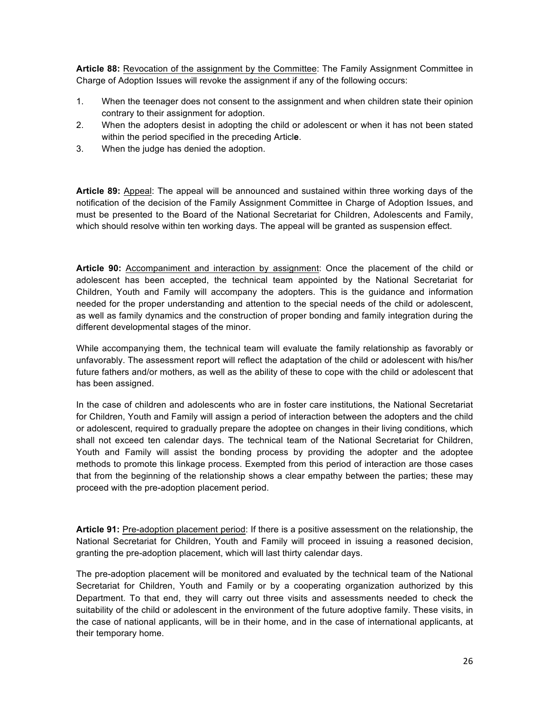**Article 88:** Revocation of the assignment by the Committee: The Family Assignment Committee in Charge of Adoption Issues will revoke the assignment if any of the following occurs:

- 1. When the teenager does not consent to the assignment and when children state their opinion contrary to their assignment for adoption.
- 2. When the adopters desist in adopting the child or adolescent or when it has not been stated within the period specified in the preceding Articl**e**.
- 3. When the judge has denied the adoption.

**Article 89:** Appeal: The appeal will be announced and sustained within three working days of the notification of the decision of the Family Assignment Committee in Charge of Adoption Issues, and must be presented to the Board of the National Secretariat for Children, Adolescents and Family, which should resolve within ten working days. The appeal will be granted as suspension effect.

**Article 90:** Accompaniment and interaction by assignment: Once the placement of the child or adolescent has been accepted, the technical team appointed by the National Secretariat for Children, Youth and Family will accompany the adopters. This is the guidance and information needed for the proper understanding and attention to the special needs of the child or adolescent, as well as family dynamics and the construction of proper bonding and family integration during the different developmental stages of the minor.

While accompanying them, the technical team will evaluate the family relationship as favorably or unfavorably. The assessment report will reflect the adaptation of the child or adolescent with his/her future fathers and/or mothers, as well as the ability of these to cope with the child or adolescent that has been assigned.

In the case of children and adolescents who are in foster care institutions, the National Secretariat for Children, Youth and Family will assign a period of interaction between the adopters and the child or adolescent, required to gradually prepare the adoptee on changes in their living conditions, which shall not exceed ten calendar days. The technical team of the National Secretariat for Children, Youth and Family will assist the bonding process by providing the adopter and the adoptee methods to promote this linkage process. Exempted from this period of interaction are those cases that from the beginning of the relationship shows a clear empathy between the parties; these may proceed with the pre-adoption placement period.

**Article 91:** Pre-adoption placement period: If there is a positive assessment on the relationship, the National Secretariat for Children, Youth and Family will proceed in issuing a reasoned decision, granting the pre-adoption placement, which will last thirty calendar days.

The pre-adoption placement will be monitored and evaluated by the technical team of the National Secretariat for Children, Youth and Family or by a cooperating organization authorized by this Department. To that end, they will carry out three visits and assessments needed to check the suitability of the child or adolescent in the environment of the future adoptive family. These visits, in the case of national applicants, will be in their home, and in the case of international applicants, at their temporary home.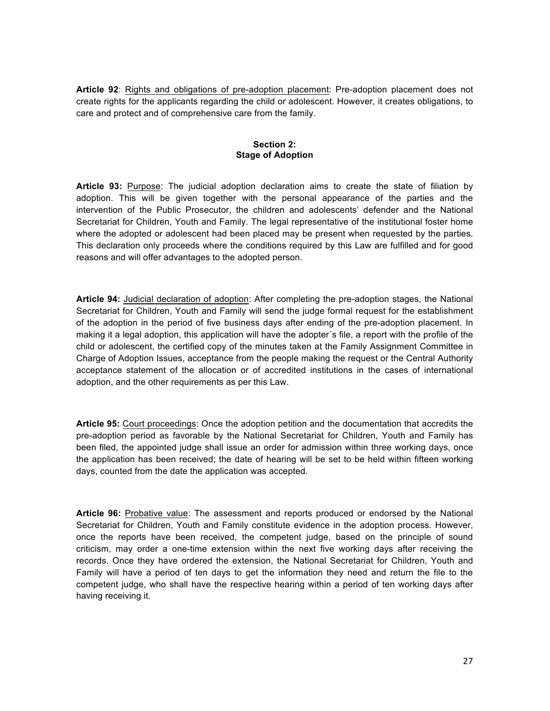**Article 92**: Rights and obligations of pre-adoption placement: Pre-adoption placement does not create rights for the applicants regarding the child or adolescent. However, it creates obligations, to care and protect and of comprehensive care from the family.

## **Section 2: Stage of Adoption**

**Article 93:** Purpose: The judicial adoption declaration aims to create the state of filiation by adoption. This will be given together with the personal appearance of the parties and the intervention of the Public Prosecutor, the children and adolescents' defender and the National Secretariat for Children, Youth and Family. The legal representative of the institutional foster home where the adopted or adolescent had been placed may be present when requested by the parties. This declaration only proceeds where the conditions required by this Law are fulfilled and for good reasons and will offer advantages to the adopted person.

**Article 94:** Judicial declaration of adoption: After completing the pre-adoption stages, the National Secretariat for Children, Youth and Family will send the judge formal request for the establishment of the adoption in the period of five business days after ending of the pre-adoption placement. In making it a legal adoption, this application will have the adopter´s file, a report with the profile of the child or adolescent, the certified copy of the minutes taken at the Family Assignment Committee in Charge of Adoption Issues, acceptance from the people making the request or the Central Authority acceptance statement of the allocation or of accredited institutions in the cases of international adoption, and the other requirements as per this Law.

**Article 95:** Court proceedings: Once the adoption petition and the documentation that accredits the pre-adoption period as favorable by the National Secretariat for Children, Youth and Family has been filed, the appointed judge shall issue an order for admission within three working days, once the application has been received; the date of hearing will be set to be held within fifteen working days, counted from the date the application was accepted.

**Article 96:** Probative value: The assessment and reports produced or endorsed by the National Secretariat for Children, Youth and Family constitute evidence in the adoption process. However, once the reports have been received, the competent judge, based on the principle of sound criticism, may order a one-time extension within the next five working days after receiving the records. Once they have ordered the extension, the National Secretariat for Children, Youth and Family will have a period of ten days to get the information they need and return the file to the competent judge, who shall have the respective hearing within a period of ten working days after having receiving it.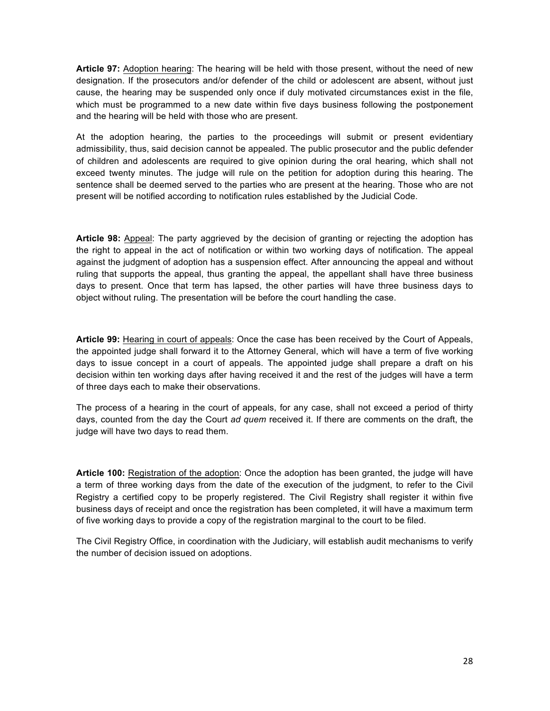**Article 97:** Adoption hearing: The hearing will be held with those present, without the need of new designation. If the prosecutors and/or defender of the child or adolescent are absent, without just cause, the hearing may be suspended only once if duly motivated circumstances exist in the file, which must be programmed to a new date within five days business following the postponement and the hearing will be held with those who are present.

At the adoption hearing, the parties to the proceedings will submit or present evidentiary admissibility, thus, said decision cannot be appealed. The public prosecutor and the public defender of children and adolescents are required to give opinion during the oral hearing, which shall not exceed twenty minutes. The judge will rule on the petition for adoption during this hearing. The sentence shall be deemed served to the parties who are present at the hearing. Those who are not present will be notified according to notification rules established by the Judicial Code.

**Article 98:** Appeal: The party aggrieved by the decision of granting or rejecting the adoption has the right to appeal in the act of notification or within two working days of notification. The appeal against the judgment of adoption has a suspension effect. After announcing the appeal and without ruling that supports the appeal, thus granting the appeal, the appellant shall have three business days to present. Once that term has lapsed, the other parties will have three business days to object without ruling. The presentation will be before the court handling the case.

**Article 99:** Hearing in court of appeals: Once the case has been received by the Court of Appeals, the appointed judge shall forward it to the Attorney General, which will have a term of five working days to issue concept in a court of appeals. The appointed judge shall prepare a draft on his decision within ten working days after having received it and the rest of the judges will have a term of three days each to make their observations.

The process of a hearing in the court of appeals, for any case, shall not exceed a period of thirty days, counted from the day the Court *ad quem* received it. If there are comments on the draft, the judge will have two days to read them.

**Article 100:** Registration of the adoption: Once the adoption has been granted, the judge will have a term of three working days from the date of the execution of the judgment, to refer to the Civil Registry a certified copy to be properly registered. The Civil Registry shall register it within five business days of receipt and once the registration has been completed, it will have a maximum term of five working days to provide a copy of the registration marginal to the court to be filed.

The Civil Registry Office, in coordination with the Judiciary, will establish audit mechanisms to verify the number of decision issued on adoptions.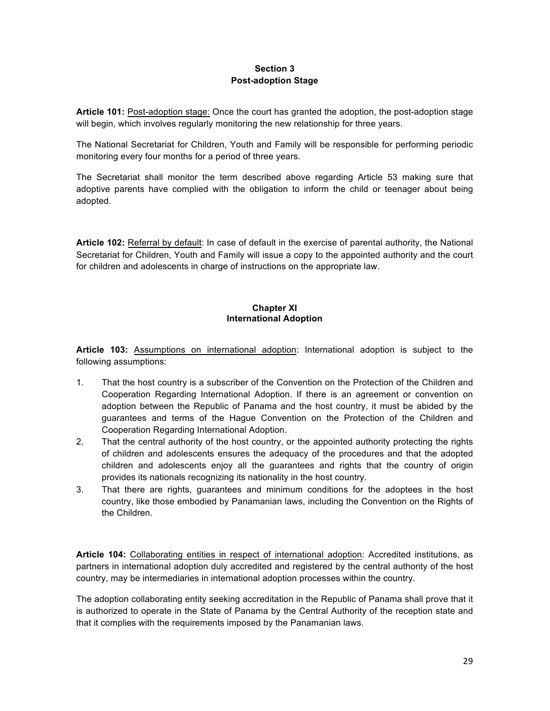## **Section 3 Post-adoption Stage**

**Article 101:** Post-adoption stage: Once the court has granted the adoption, the post-adoption stage will begin, which involves regularly monitoring the new relationship for three years.

The National Secretariat for Children, Youth and Family will be responsible for performing periodic monitoring every four months for a period of three years.

The Secretariat shall monitor the term described above regarding Article 53 making sure that adoptive parents have complied with the obligation to inform the child or teenager about being adopted.

**Article 102:** Referral by default: In case of default in the exercise of parental authority, the National Secretariat for Children, Youth and Family will issue a copy to the appointed authority and the court for children and adolescents in charge of instructions on the appropriate law.

## **Chapter XI International Adoption**

**Article 103:** Assumptions on international adoption: International adoption is subject to the following assumptions:

- 1. That the host country is a subscriber of the Convention on the Protection of the Children and Cooperation Regarding International Adoption. If there is an agreement or convention on adoption between the Republic of Panama and the host country, it must be abided by the guarantees and terms of the Hague Convention on the Protection of the Children and Cooperation Regarding International Adoption.
- 2. That the central authority of the host country, or the appointed authority protecting the rights of children and adolescents ensures the adequacy of the procedures and that the adopted children and adolescents enjoy all the guarantees and rights that the country of origin provides its nationals recognizing its nationality in the host country.
- 3. That there are rights, guarantees and minimum conditions for the adoptees in the host country, like those embodied by Panamanian laws, including the Convention on the Rights of the Children.

**Article 104:** Collaborating entities in respect of international adoption: Accredited institutions, as partners in international adoption duly accredited and registered by the central authority of the host country, may be intermediaries in international adoption processes within the country.

The adoption collaborating entity seeking accreditation in the Republic of Panama shall prove that it is authorized to operate in the State of Panama by the Central Authority of the reception state and that it complies with the requirements imposed by the Panamanian laws.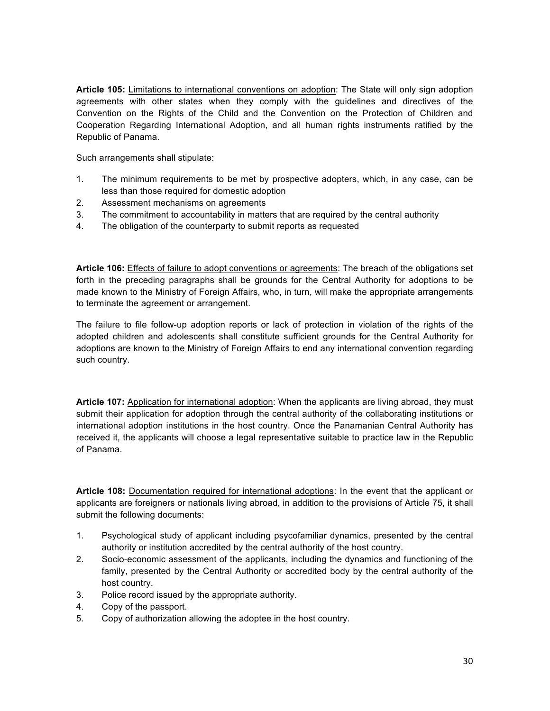**Article 105:** Limitations to international conventions on adoption: The State will only sign adoption agreements with other states when they comply with the guidelines and directives of the Convention on the Rights of the Child and the Convention on the Protection of Children and Cooperation Regarding International Adoption, and all human rights instruments ratified by the Republic of Panama.

Such arrangements shall stipulate:

- 1. The minimum requirements to be met by prospective adopters, which, in any case, can be less than those required for domestic adoption
- 2. Assessment mechanisms on agreements
- 3. The commitment to accountability in matters that are required by the central authority
- 4. The obligation of the counterparty to submit reports as requested

**Article 106:** Effects of failure to adopt conventions or agreements: The breach of the obligations set forth in the preceding paragraphs shall be grounds for the Central Authority for adoptions to be made known to the Ministry of Foreign Affairs, who, in turn, will make the appropriate arrangements to terminate the agreement or arrangement.

The failure to file follow-up adoption reports or lack of protection in violation of the rights of the adopted children and adolescents shall constitute sufficient grounds for the Central Authority for adoptions are known to the Ministry of Foreign Affairs to end any international convention regarding such country.

**Article 107:** Application for international adoption: When the applicants are living abroad, they must submit their application for adoption through the central authority of the collaborating institutions or international adoption institutions in the host country. Once the Panamanian Central Authority has received it, the applicants will choose a legal representative suitable to practice law in the Republic of Panama.

**Article 108:** Documentation required for international adoptions: In the event that the applicant or applicants are foreigners or nationals living abroad, in addition to the provisions of Article 75, it shall submit the following documents:

- 1. Psychological study of applicant including psycofamiliar dynamics, presented by the central authority or institution accredited by the central authority of the host country.
- 2. Socio-economic assessment of the applicants, including the dynamics and functioning of the family, presented by the Central Authority or accredited body by the central authority of the host country.
- 3. Police record issued by the appropriate authority.
- 4. Copy of the passport.
- 5. Copy of authorization allowing the adoptee in the host country.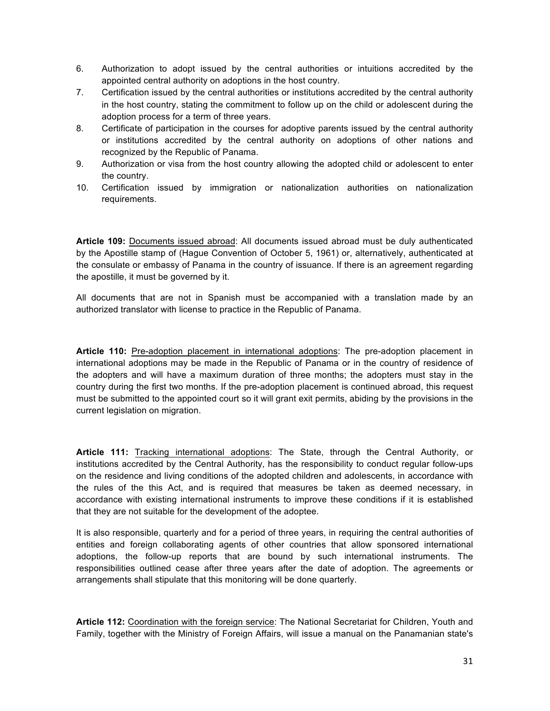- 6. Authorization to adopt issued by the central authorities or intuitions accredited by the appointed central authority on adoptions in the host country.
- 7. Certification issued by the central authorities or institutions accredited by the central authority in the host country, stating the commitment to follow up on the child or adolescent during the adoption process for a term of three years.
- 8. Certificate of participation in the courses for adoptive parents issued by the central authority or institutions accredited by the central authority on adoptions of other nations and recognized by the Republic of Panama.
- 9. Authorization or visa from the host country allowing the adopted child or adolescent to enter the country.
- 10. Certification issued by immigration or nationalization authorities on nationalization requirements.

**Article 109:** Documents issued abroad: All documents issued abroad must be duly authenticated by the Apostille stamp of (Hague Convention of October 5, 1961) or, alternatively, authenticated at the consulate or embassy of Panama in the country of issuance. If there is an agreement regarding the apostille, it must be governed by it.

All documents that are not in Spanish must be accompanied with a translation made by an authorized translator with license to practice in the Republic of Panama.

**Article 110:** Pre-adoption placement in international adoptions: The pre-adoption placement in international adoptions may be made in the Republic of Panama or in the country of residence of the adopters and will have a maximum duration of three months; the adopters must stay in the country during the first two months. If the pre-adoption placement is continued abroad, this request must be submitted to the appointed court so it will grant exit permits, abiding by the provisions in the current legislation on migration.

**Article 111:** Tracking international adoptions: The State, through the Central Authority, or institutions accredited by the Central Authority, has the responsibility to conduct regular follow-ups on the residence and living conditions of the adopted children and adolescents, in accordance with the rules of the this Act, and is required that measures be taken as deemed necessary, in accordance with existing international instruments to improve these conditions if it is established that they are not suitable for the development of the adoptee.

It is also responsible, quarterly and for a period of three years, in requiring the central authorities of entities and foreign collaborating agents of other countries that allow sponsored international adoptions, the follow-up reports that are bound by such international instruments. The responsibilities outlined cease after three years after the date of adoption. The agreements or arrangements shall stipulate that this monitoring will be done quarterly.

**Article 112:** Coordination with the foreign service: The National Secretariat for Children, Youth and Family, together with the Ministry of Foreign Affairs, will issue a manual on the Panamanian state's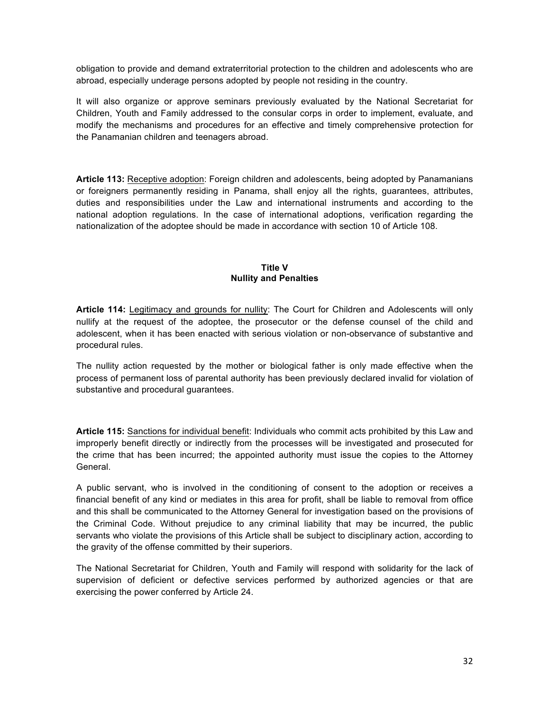obligation to provide and demand extraterritorial protection to the children and adolescents who are abroad, especially underage persons adopted by people not residing in the country.

It will also organize or approve seminars previously evaluated by the National Secretariat for Children, Youth and Family addressed to the consular corps in order to implement, evaluate, and modify the mechanisms and procedures for an effective and timely comprehensive protection for the Panamanian children and teenagers abroad.

**Article 113:** Receptive adoption: Foreign children and adolescents, being adopted by Panamanians or foreigners permanently residing in Panama, shall enjoy all the rights, guarantees, attributes, duties and responsibilities under the Law and international instruments and according to the national adoption regulations. In the case of international adoptions, verification regarding the nationalization of the adoptee should be made in accordance with section 10 of Article 108.

#### **Title V Nullity and Penalties**

**Article 114:** Legitimacy and grounds for nullity: The Court for Children and Adolescents will only nullify at the request of the adoptee, the prosecutor or the defense counsel of the child and adolescent, when it has been enacted with serious violation or non-observance of substantive and procedural rules.

The nullity action requested by the mother or biological father is only made effective when the process of permanent loss of parental authority has been previously declared invalid for violation of substantive and procedural guarantees.

**Article 115:** Sanctions for individual benefit: Individuals who commit acts prohibited by this Law and improperly benefit directly or indirectly from the processes will be investigated and prosecuted for the crime that has been incurred; the appointed authority must issue the copies to the Attorney General.

A public servant, who is involved in the conditioning of consent to the adoption or receives a financial benefit of any kind or mediates in this area for profit, shall be liable to removal from office and this shall be communicated to the Attorney General for investigation based on the provisions of the Criminal Code. Without prejudice to any criminal liability that may be incurred, the public servants who violate the provisions of this Article shall be subject to disciplinary action, according to the gravity of the offense committed by their superiors.

The National Secretariat for Children, Youth and Family will respond with solidarity for the lack of supervision of deficient or defective services performed by authorized agencies or that are exercising the power conferred by Article 24.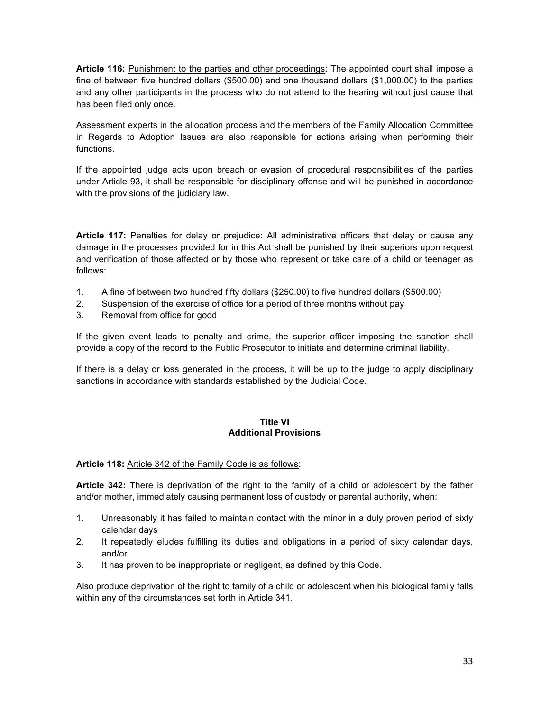**Article 116:** Punishment to the parties and other proceedings: The appointed court shall impose a fine of between five hundred dollars (\$500.00) and one thousand dollars (\$1,000.00) to the parties and any other participants in the process who do not attend to the hearing without just cause that has been filed only once.

Assessment experts in the allocation process and the members of the Family Allocation Committee in Regards to Adoption Issues are also responsible for actions arising when performing their functions.

If the appointed judge acts upon breach or evasion of procedural responsibilities of the parties under Article 93, it shall be responsible for disciplinary offense and will be punished in accordance with the provisions of the judiciary law.

**Article 117:** Penalties for delay or prejudice: All administrative officers that delay or cause any damage in the processes provided for in this Act shall be punished by their superiors upon request and verification of those affected or by those who represent or take care of a child or teenager as follows:

- 1. A fine of between two hundred fifty dollars (\$250.00) to five hundred dollars (\$500.00)
- 2. Suspension of the exercise of office for a period of three months without pay
- 3. Removal from office for good

If the given event leads to penalty and crime, the superior officer imposing the sanction shall provide a copy of the record to the Public Prosecutor to initiate and determine criminal liability.

If there is a delay or loss generated in the process, it will be up to the judge to apply disciplinary sanctions in accordance with standards established by the Judicial Code.

#### **Title VI Additional Provisions**

## **Article 118:** Article 342 of the Family Code is as follows:

**Article 342:** There is deprivation of the right to the family of a child or adolescent by the father and/or mother, immediately causing permanent loss of custody or parental authority, when:

- 1. Unreasonably it has failed to maintain contact with the minor in a duly proven period of sixty calendar days
- 2. It repeatedly eludes fulfilling its duties and obligations in a period of sixty calendar days, and/or
- 3. It has proven to be inappropriate or negligent, as defined by this Code.

Also produce deprivation of the right to family of a child or adolescent when his biological family falls within any of the circumstances set forth in Article 341.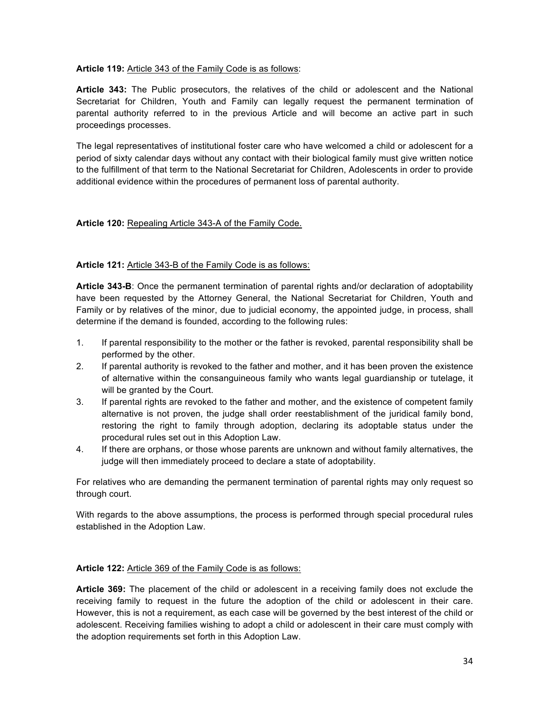## **Article 119:** Article 343 of the Family Code is as follows:

**Article 343:** The Public prosecutors, the relatives of the child or adolescent and the National Secretariat for Children, Youth and Family can legally request the permanent termination of parental authority referred to in the previous Article and will become an active part in such proceedings processes.

The legal representatives of institutional foster care who have welcomed a child or adolescent for a period of sixty calendar days without any contact with their biological family must give written notice to the fulfillment of that term to the National Secretariat for Children, Adolescents in order to provide additional evidence within the procedures of permanent loss of parental authority.

## **Article 120:** Repealing Article 343-A of the Family Code.

## **Article 121:** Article 343-B of the Family Code is as follows:

**Article 343-B**: Once the permanent termination of parental rights and/or declaration of adoptability have been requested by the Attorney General, the National Secretariat for Children, Youth and Family or by relatives of the minor, due to judicial economy, the appointed judge, in process, shall determine if the demand is founded, according to the following rules:

- 1. If parental responsibility to the mother or the father is revoked, parental responsibility shall be performed by the other.
- 2. If parental authority is revoked to the father and mother, and it has been proven the existence of alternative within the consanguineous family who wants legal guardianship or tutelage, it will be granted by the Court.
- 3. If parental rights are revoked to the father and mother, and the existence of competent family alternative is not proven, the judge shall order reestablishment of the juridical family bond, restoring the right to family through adoption, declaring its adoptable status under the procedural rules set out in this Adoption Law.
- 4. If there are orphans, or those whose parents are unknown and without family alternatives, the judge will then immediately proceed to declare a state of adoptability.

For relatives who are demanding the permanent termination of parental rights may only request so through court.

With regards to the above assumptions, the process is performed through special procedural rules established in the Adoption Law.

#### **Article 122:** Article 369 of the Family Code is as follows:

**Article 369:** The placement of the child or adolescent in a receiving family does not exclude the receiving family to request in the future the adoption of the child or adolescent in their care. However, this is not a requirement, as each case will be governed by the best interest of the child or adolescent. Receiving families wishing to adopt a child or adolescent in their care must comply with the adoption requirements set forth in this Adoption Law.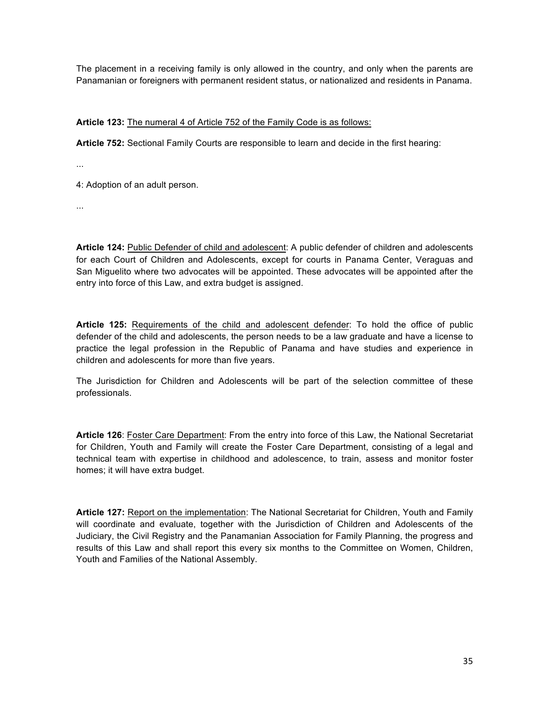The placement in a receiving family is only allowed in the country, and only when the parents are Panamanian or foreigners with permanent resident status, or nationalized and residents in Panama.

## **Article 123:** The numeral 4 of Article 752 of the Family Code is as follows:

**Article 752:** Sectional Family Courts are responsible to learn and decide in the first hearing:

...

4: Adoption of an adult person.

...

**Article 124:** Public Defender of child and adolescent: A public defender of children and adolescents for each Court of Children and Adolescents, except for courts in Panama Center, Veraguas and San Miguelito where two advocates will be appointed. These advocates will be appointed after the entry into force of this Law, and extra budget is assigned.

**Article 125:** Requirements of the child and adolescent defender: To hold the office of public defender of the child and adolescents, the person needs to be a law graduate and have a license to practice the legal profession in the Republic of Panama and have studies and experience in children and adolescents for more than five years.

The Jurisdiction for Children and Adolescents will be part of the selection committee of these professionals.

**Article 126**: Foster Care Department: From the entry into force of this Law, the National Secretariat for Children, Youth and Family will create the Foster Care Department, consisting of a legal and technical team with expertise in childhood and adolescence, to train, assess and monitor foster homes; it will have extra budget.

**Article 127:** Report on the implementation: The National Secretariat for Children, Youth and Family will coordinate and evaluate, together with the Jurisdiction of Children and Adolescents of the Judiciary, the Civil Registry and the Panamanian Association for Family Planning, the progress and results of this Law and shall report this every six months to the Committee on Women, Children, Youth and Families of the National Assembly.